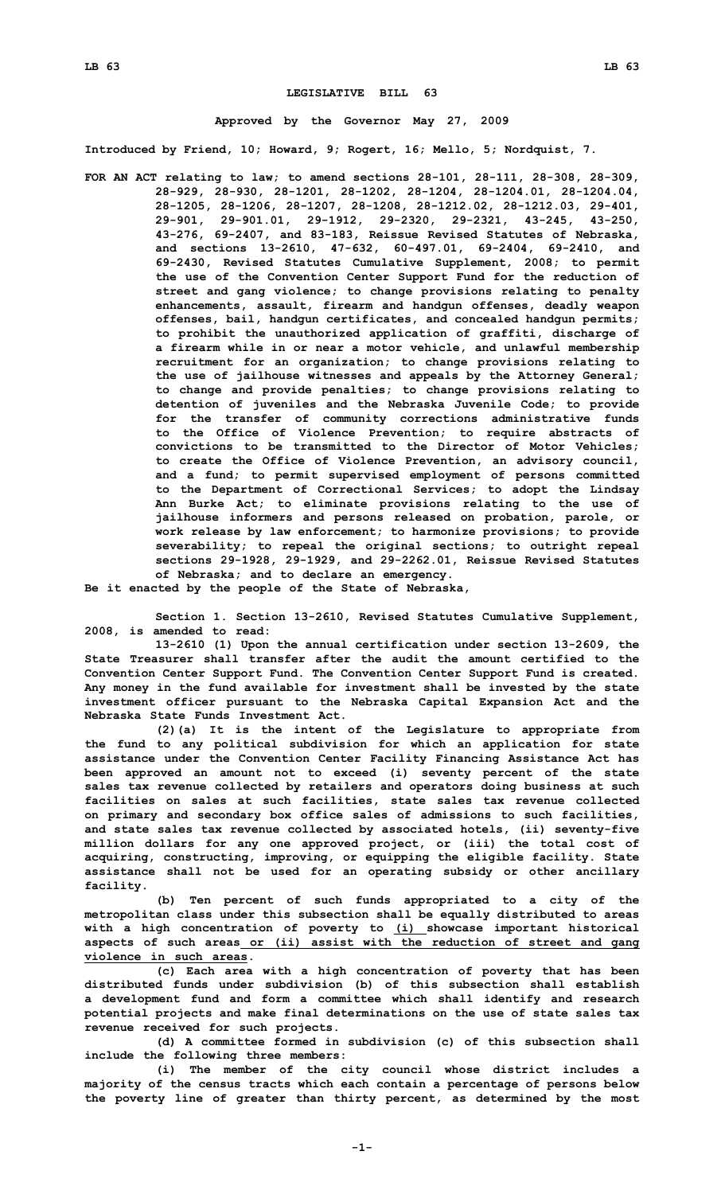## **LEGISLATIVE BILL 63**

## **Approved by the Governor May 27, 2009**

**Introduced by Friend, 10; Howard, 9; Rogert, 16; Mello, 5; Nordquist, 7.**

**FOR AN ACT relating to law; to amend sections 28-101, 28-111, 28-308, 28-309, 28-929, 28-930, 28-1201, 28-1202, 28-1204, 28-1204.01, 28-1204.04, 28-1205, 28-1206, 28-1207, 28-1208, 28-1212.02, 28-1212.03, 29-401, 29-901, 29-901.01, 29-1912, 29-2320, 29-2321, 43-245, 43-250, 43-276, 69-2407, and 83-183, Reissue Revised Statutes of Nebraska, and sections 13-2610, 47-632, 60-497.01, 69-2404, 69-2410, and 69-2430, Revised Statutes Cumulative Supplement, 2008; to permit the use of the Convention Center Support Fund for the reduction of street and gang violence; to change provisions relating to penalty enhancements, assault, firearm and handgun offenses, deadly weapon offenses, bail, handgun certificates, and concealed handgun permits; to prohibit the unauthorized application of graffiti, discharge of <sup>a</sup> firearm while in or near <sup>a</sup> motor vehicle, and unlawful membership recruitment for an organization; to change provisions relating to the use of jailhouse witnesses and appeals by the Attorney General; to change and provide penalties; to change provisions relating to detention of juveniles and the Nebraska Juvenile Code; to provide for the transfer of community corrections administrative funds to the Office of Violence Prevention; to require abstracts of convictions to be transmitted to the Director of Motor Vehicles; to create the Office of Violence Prevention, an advisory council, and <sup>a</sup> fund; to permit supervised employment of persons committed to the Department of Correctional Services; to adopt the Lindsay Ann Burke Act; to eliminate provisions relating to the use of jailhouse informers and persons released on probation, parole, or work release by law enforcement; to harmonize provisions; to provide severability; to repeal the original sections; to outright repeal sections 29-1928, 29-1929, and 29-2262.01, Reissue Revised Statutes of Nebraska; and to declare an emergency.**

**Be it enacted by the people of the State of Nebraska,**

**Section 1. Section 13-2610, Revised Statutes Cumulative Supplement, 2008, is amended to read:**

**13-2610 (1) Upon the annual certification under section 13-2609, the State Treasurer shall transfer after the audit the amount certified to the Convention Center Support Fund. The Convention Center Support Fund is created. Any money in the fund available for investment shall be invested by the state investment officer pursuant to the Nebraska Capital Expansion Act and the Nebraska State Funds Investment Act.**

**(2)(a) It is the intent of the Legislature to appropriate from the fund to any political subdivision for which an application for state assistance under the Convention Center Facility Financing Assistance Act has been approved an amount not to exceed (i) seventy percent of the state sales tax revenue collected by retailers and operators doing business at such facilities on sales at such facilities, state sales tax revenue collected on primary and secondary box office sales of admissions to such facilities, and state sales tax revenue collected by associated hotels, (ii) seventy-five million dollars for any one approved project, or (iii) the total cost of acquiring, constructing, improving, or equipping the eligible facility. State assistance shall not be used for an operating subsidy or other ancillary facility.**

**(b) Ten percent of such funds appropriated to <sup>a</sup> city of the metropolitan class under this subsection shall be equally distributed to areas with <sup>a</sup> high concentration of poverty to (i) showcase important historical aspects of such areas or (ii) assist with the reduction of street and gang violence in such areas.**

**(c) Each area with <sup>a</sup> high concentration of poverty that has been distributed funds under subdivision (b) of this subsection shall establish <sup>a</sup> development fund and form <sup>a</sup> committee which shall identify and research potential projects and make final determinations on the use of state sales tax revenue received for such projects.**

**(d) A committee formed in subdivision (c) of this subsection shall include the following three members:**

**(i) The member of the city council whose district includes <sup>a</sup> majority of the census tracts which each contain <sup>a</sup> percentage of persons below the poverty line of greater than thirty percent, as determined by the most**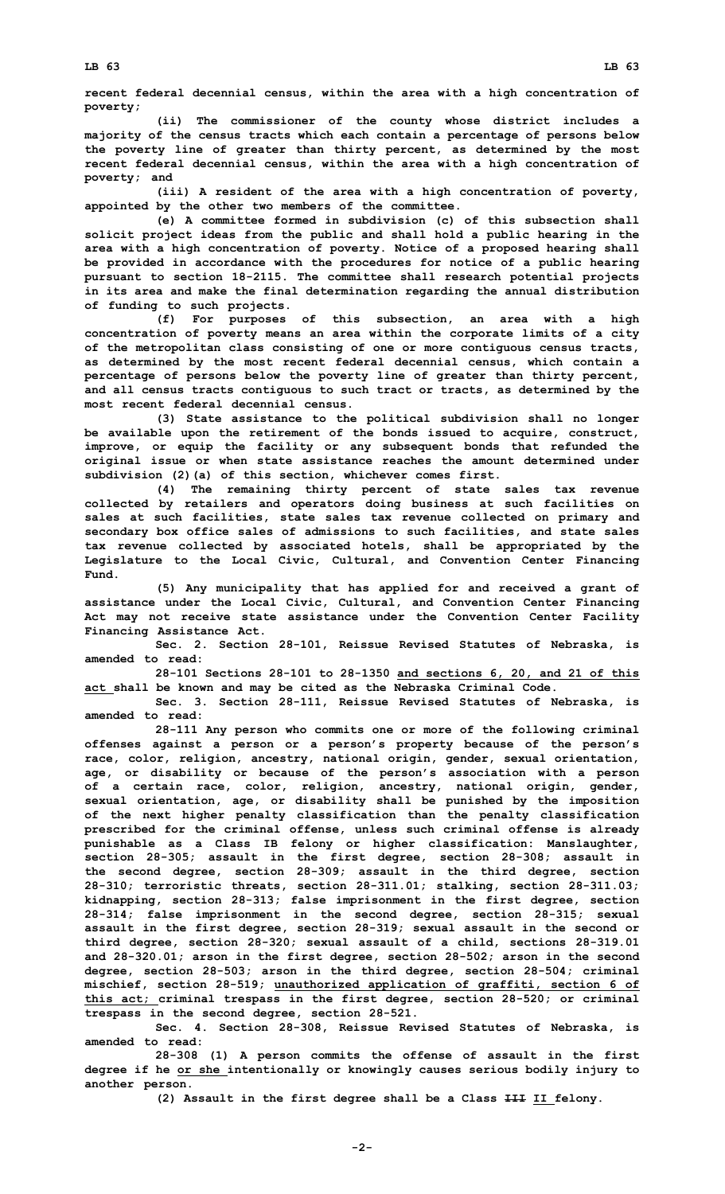**recent federal decennial census, within the area with <sup>a</sup> high concentration of poverty;**

**(ii) The commissioner of the county whose district includes <sup>a</sup> majority of the census tracts which each contain <sup>a</sup> percentage of persons below the poverty line of greater than thirty percent, as determined by the most recent federal decennial census, within the area with <sup>a</sup> high concentration of poverty; and**

**(iii) <sup>A</sup> resident of the area with <sup>a</sup> high concentration of poverty, appointed by the other two members of the committee.**

**(e) A committee formed in subdivision (c) of this subsection shall solicit project ideas from the public and shall hold <sup>a</sup> public hearing in the area with <sup>a</sup> high concentration of poverty. Notice of <sup>a</sup> proposed hearing shall be provided in accordance with the procedures for notice of <sup>a</sup> public hearing pursuant to section 18-2115. The committee shall research potential projects in its area and make the final determination regarding the annual distribution of funding to such projects.**

**(f) For purposes of this subsection, an area with <sup>a</sup> high concentration of poverty means an area within the corporate limits of <sup>a</sup> city of the metropolitan class consisting of one or more contiguous census tracts, as determined by the most recent federal decennial census, which contain <sup>a</sup> percentage of persons below the poverty line of greater than thirty percent, and all census tracts contiguous to such tract or tracts, as determined by the most recent federal decennial census.**

**(3) State assistance to the political subdivision shall no longer be available upon the retirement of the bonds issued to acquire, construct, improve, or equip the facility or any subsequent bonds that refunded the original issue or when state assistance reaches the amount determined under subdivision (2)(a) of this section, whichever comes first.**

**(4) The remaining thirty percent of state sales tax revenue collected by retailers and operators doing business at such facilities on sales at such facilities, state sales tax revenue collected on primary and secondary box office sales of admissions to such facilities, and state sales tax revenue collected by associated hotels, shall be appropriated by the Legislature to the Local Civic, Cultural, and Convention Center Financing Fund.**

**(5) Any municipality that has applied for and received <sup>a</sup> grant of assistance under the Local Civic, Cultural, and Convention Center Financing Act may not receive state assistance under the Convention Center Facility Financing Assistance Act.**

**Sec. 2. Section 28-101, Reissue Revised Statutes of Nebraska, is amended to read:**

**28-101 Sections 28-101 to 28-1350 and sections 6, 20, and 21 of this act shall be known and may be cited as the Nebraska Criminal Code.**

**Sec. 3. Section 28-111, Reissue Revised Statutes of Nebraska, is amended to read:**

**28-111 Any person who commits one or more of the following criminal offenses against <sup>a</sup> person or <sup>a</sup> person's property because of the person's race, color, religion, ancestry, national origin, gender, sexual orientation, age, or disability or because of the person's association with <sup>a</sup> person of <sup>a</sup> certain race, color, religion, ancestry, national origin, gender, sexual orientation, age, or disability shall be punished by the imposition of the next higher penalty classification than the penalty classification prescribed for the criminal offense, unless such criminal offense is already punishable as <sup>a</sup> Class IB felony or higher classification: Manslaughter, section 28-305; assault in the first degree, section 28-308; assault in the second degree, section 28-309; assault in the third degree, section 28-310; terroristic threats, section 28-311.01; stalking, section 28-311.03; kidnapping, section 28-313; false imprisonment in the first degree, section 28-314; false imprisonment in the second degree, section 28-315; sexual assault in the first degree, section 28-319; sexual assault in the second or third degree, section 28-320; sexual assault of <sup>a</sup> child, sections 28-319.01 and 28-320.01; arson in the first degree, section 28-502; arson in the second degree, section 28-503; arson in the third degree, section 28-504; criminal mischief, section 28-519; unauthorized application of graffiti, section 6 of this act; criminal trespass in the first degree, section 28-520; or criminal trespass in the second degree, section 28-521.**

**Sec. 4. Section 28-308, Reissue Revised Statutes of Nebraska, is amended to read:**

**28-308 (1) <sup>A</sup> person commits the offense of assault in the first degree if he or she intentionally or knowingly causes serious bodily injury to another person.**

**(2) Assault in the first degree shall be <sup>a</sup> Class III II felony.**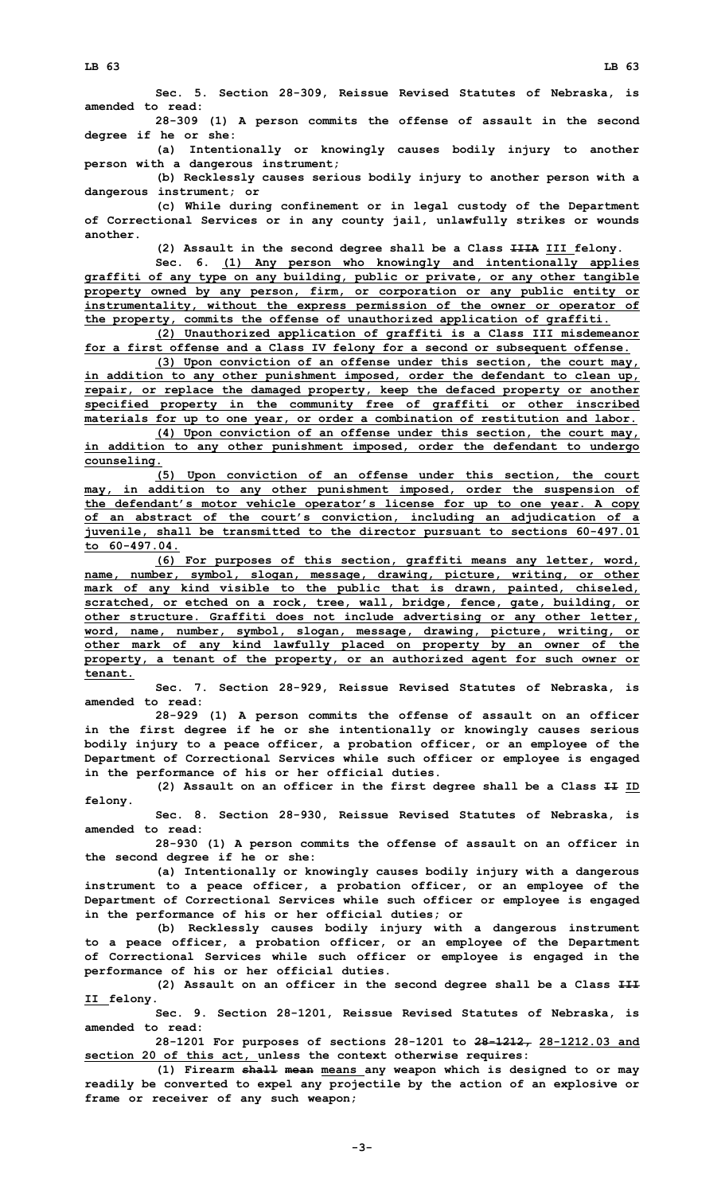**28-309 (1) <sup>A</sup> person commits the offense of assault in the second degree if he or she:**

**(a) Intentionally or knowingly causes bodily injury to another person with <sup>a</sup> dangerous instrument;**

**(b) Recklessly causes serious bodily injury to another person with <sup>a</sup> dangerous instrument; or**

**(c) While during confinement or in legal custody of the Department of Correctional Services or in any county jail, unlawfully strikes or wounds another.**

**(2) Assault in the second degree shall be <sup>a</sup> Class IIIA III felony.**

**Sec. 6. (1) Any person who knowingly and intentionally applies graffiti of any type on any building, public or private, or any other tangible property owned by any person, firm, or corporation or any public entity or instrumentality, without the express permission of the owner or operator of the property, commits the offense of unauthorized application of graffiti.**

**(2) Unauthorized application of graffiti is <sup>a</sup> Class III misdemeanor for <sup>a</sup> first offense and <sup>a</sup> Class IV felony for <sup>a</sup> second or subsequent offense.**

**(3) Upon conviction of an offense under this section, the court may, in addition to any other punishment imposed, order the defendant to clean up, repair, or replace the damaged property, keep the defaced property or another specified property in the community free of graffiti or other inscribed materials for up to one year, or order <sup>a</sup> combination of restitution and labor.**

**(4) Upon conviction of an offense under this section, the court may, in addition to any other punishment imposed, order the defendant to undergo counseling.**

**(5) Upon conviction of an offense under this section, the court may, in addition to any other punishment imposed, order the suspension of the defendant's motor vehicle operator's license for up to one year. A copy of an abstract of the court's conviction, including an adjudication of <sup>a</sup> juvenile, shall be transmitted to the director pursuant to sections 60-497.01 to 60-497.04.**

**(6) For purposes of this section, graffiti means any letter, word, name, number, symbol, slogan, message, drawing, picture, writing, or other mark of any kind visible to the public that is drawn, painted, chiseled, scratched, or etched on <sup>a</sup> rock, tree, wall, bridge, fence, gate, building, or other structure. Graffiti does not include advertising or any other letter, word, name, number, symbol, slogan, message, drawing, picture, writing, or other mark of any kind lawfully placed on property by an owner of the property, <sup>a</sup> tenant of the property, or an authorized agent for such owner or tenant.**

**Sec. 7. Section 28-929, Reissue Revised Statutes of Nebraska, is amended to read:**

**28-929 (1) <sup>A</sup> person commits the offense of assault on an officer in the first degree if he or she intentionally or knowingly causes serious bodily injury to <sup>a</sup> peace officer, <sup>a</sup> probation officer, or an employee of the Department of Correctional Services while such officer or employee is engaged in the performance of his or her official duties.**

**(2) Assault on an officer in the first degree shall be <sup>a</sup> Class II ID felony.**

**Sec. 8. Section 28-930, Reissue Revised Statutes of Nebraska, is amended to read:**

**28-930 (1) <sup>A</sup> person commits the offense of assault on an officer in the second degree if he or she:**

**(a) Intentionally or knowingly causes bodily injury with <sup>a</sup> dangerous instrument to <sup>a</sup> peace officer, <sup>a</sup> probation officer, or an employee of the Department of Correctional Services while such officer or employee is engaged in the performance of his or her official duties; or**

**(b) Recklessly causes bodily injury with <sup>a</sup> dangerous instrument to <sup>a</sup> peace officer, <sup>a</sup> probation officer, or an employee of the Department of Correctional Services while such officer or employee is engaged in the performance of his or her official duties.**

**(2) Assault on an officer in the second degree shall be <sup>a</sup> Class III II felony.**

**Sec. 9. Section 28-1201, Reissue Revised Statutes of Nebraska, is amended to read:**

**28-1201 For purposes of sections 28-1201 to 28-1212, 28-1212.03 and section 20 of this act, unless the context otherwise requires:**

**(1) Firearm shall mean means any weapon which is designed to or may readily be converted to expel any projectile by the action of an explosive or frame or receiver of any such weapon;**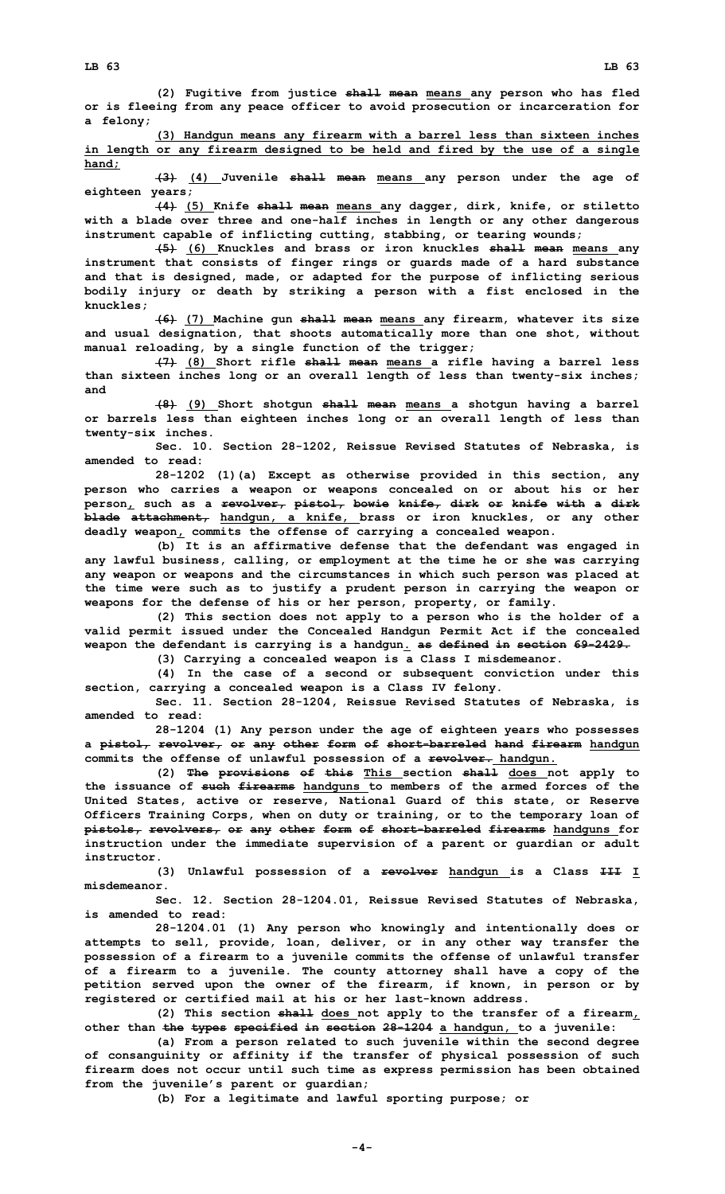**(2) Fugitive from justice shall mean means any person who has fled or is fleeing from any peace officer to avoid prosecution or incarceration for <sup>a</sup> felony;**

**(3) Handgun means any firearm with <sup>a</sup> barrel less than sixteen inches in length or any firearm designed to be held and fired by the use of <sup>a</sup> single hand;**

**(3) (4) Juvenile shall mean means any person under the age of eighteen years;**

**(4) (5) Knife shall mean means any dagger, dirk, knife, or stiletto with <sup>a</sup> blade over three and one-half inches in length or any other dangerous instrument capable of inflicting cutting, stabbing, or tearing wounds;**

**(5) (6) Knuckles and brass or iron knuckles shall mean means any instrument that consists of finger rings or guards made of <sup>a</sup> hard substance and that is designed, made, or adapted for the purpose of inflicting serious bodily injury or death by striking <sup>a</sup> person with <sup>a</sup> fist enclosed in the knuckles;**

**(6) (7) Machine gun shall mean means any firearm, whatever its size and usual designation, that shoots automatically more than one shot, without manual reloading, by <sup>a</sup> single function of the trigger;**

**(7) (8) Short rifle shall mean means <sup>a</sup> rifle having <sup>a</sup> barrel less than sixteen inches long or an overall length of less than twenty-six inches; and**

**(8) (9) Short shotgun shall mean means <sup>a</sup> shotgun having <sup>a</sup> barrel or barrels less than eighteen inches long or an overall length of less than twenty-six inches.**

**Sec. 10. Section 28-1202, Reissue Revised Statutes of Nebraska, is amended to read:**

**28-1202 (1)(a) Except as otherwise provided in this section, any person who carries <sup>a</sup> weapon or weapons concealed on or about his or her person, such as <sup>a</sup> revolver, pistol, bowie knife, dirk or knife with <sup>a</sup> dirk blade attachment, handgun, <sup>a</sup> knife, brass or iron knuckles, or any other deadly weapon, commits the offense of carrying <sup>a</sup> concealed weapon.**

**(b) It is an affirmative defense that the defendant was engaged in any lawful business, calling, or employment at the time he or she was carrying any weapon or weapons and the circumstances in which such person was placed at the time were such as to justify <sup>a</sup> prudent person in carrying the weapon or weapons for the defense of his or her person, property, or family.**

**(2) This section does not apply to <sup>a</sup> person who is the holder of <sup>a</sup> valid permit issued under the Concealed Handgun Permit Act if the concealed weapon the defendant is carrying is <sup>a</sup> handgun. as defined in section 69-2429.**

**(3) Carrying <sup>a</sup> concealed weapon is <sup>a</sup> Class <sup>I</sup> misdemeanor.**

**(4) In the case of <sup>a</sup> second or subsequent conviction under this section, carrying <sup>a</sup> concealed weapon is <sup>a</sup> Class IV felony.**

**Sec. 11. Section 28-1204, Reissue Revised Statutes of Nebraska, is amended to read:**

**28-1204 (1) Any person under the age of eighteen years who possesses <sup>a</sup> pistol, revolver, or any other form of short-barreled hand firearm handgun commits the offense of unlawful possession of <sup>a</sup> revolver. handgun.**

**(2) The provisions of this This section shall does not apply to the issuance of such firearms handguns to members of the armed forces of the United States, active or reserve, National Guard of this state, or Reserve Officers Training Corps, when on duty or training, or to the temporary loan of pistols, revolvers, or any other form of short-barreled firearms handguns for instruction under the immediate supervision of <sup>a</sup> parent or guardian or adult instructor.**

**(3) Unlawful possession of <sup>a</sup> revolver handgun is <sup>a</sup> Class III <sup>I</sup> misdemeanor.**

**Sec. 12. Section 28-1204.01, Reissue Revised Statutes of Nebraska, is amended to read:**

**28-1204.01 (1) Any person who knowingly and intentionally does or attempts to sell, provide, loan, deliver, or in any other way transfer the possession of <sup>a</sup> firearm to <sup>a</sup> juvenile commits the offense of unlawful transfer of <sup>a</sup> firearm to <sup>a</sup> juvenile. The county attorney shall have <sup>a</sup> copy of the petition served upon the owner of the firearm, if known, in person or by registered or certified mail at his or her last-known address.**

**(2) This section shall does not apply to the transfer of <sup>a</sup> firearm, other than the types specified in section 28-1204 <sup>a</sup> handgun, to <sup>a</sup> juvenile:**

**(a) From <sup>a</sup> person related to such juvenile within the second degree of consanguinity or affinity if the transfer of physical possession of such firearm does not occur until such time as express permission has been obtained from the juvenile's parent or guardian;**

**(b) For <sup>a</sup> legitimate and lawful sporting purpose; or**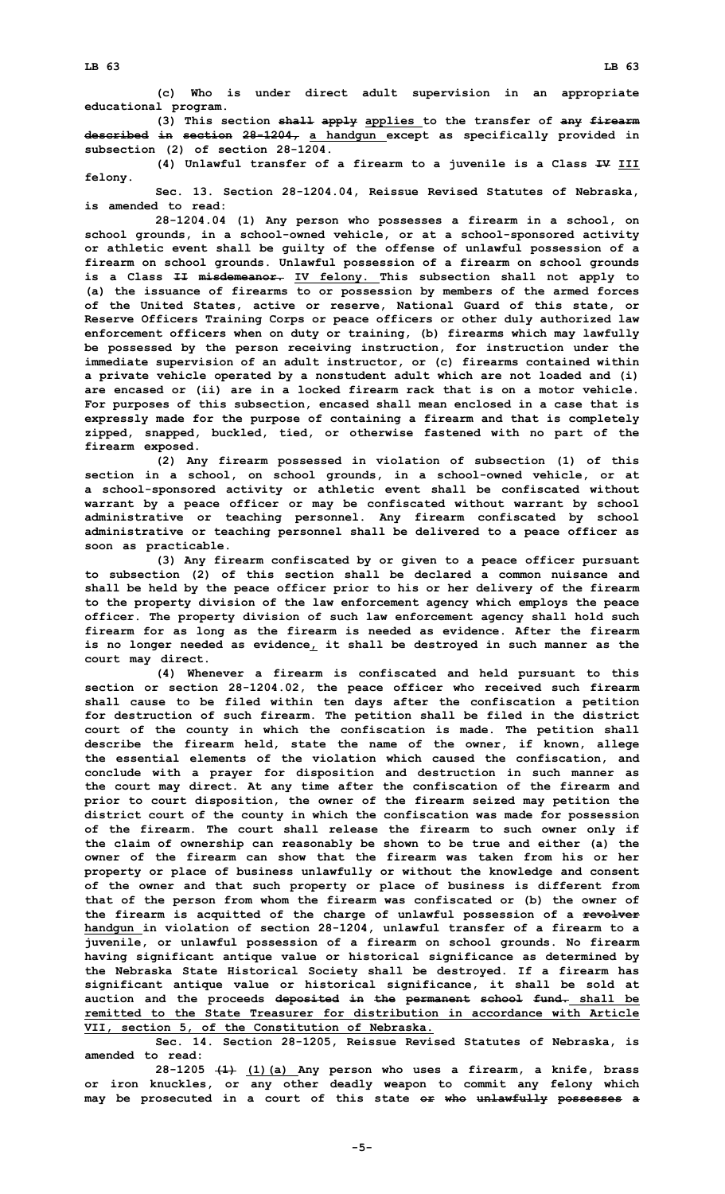**(3) This section shall apply applies to the transfer of any firearm described in section 28-1204, <sup>a</sup> handgun except as specifically provided in subsection (2) of section 28-1204.**

**(4) Unlawful transfer of <sup>a</sup> firearm to <sup>a</sup> juvenile is <sup>a</sup> Class IV III felony.**

**Sec. 13. Section 28-1204.04, Reissue Revised Statutes of Nebraska, is amended to read:**

**28-1204.04 (1) Any person who possesses <sup>a</sup> firearm in <sup>a</sup> school, on school grounds, in <sup>a</sup> school-owned vehicle, or at <sup>a</sup> school-sponsored activity or athletic event shall be guilty of the offense of unlawful possession of <sup>a</sup> firearm on school grounds. Unlawful possession of <sup>a</sup> firearm on school grounds is <sup>a</sup> Class II misdemeanor. IV felony. This subsection shall not apply to (a) the issuance of firearms to or possession by members of the armed forces of the United States, active or reserve, National Guard of this state, or Reserve Officers Training Corps or peace officers or other duly authorized law enforcement officers when on duty or training, (b) firearms which may lawfully be possessed by the person receiving instruction, for instruction under the immediate supervision of an adult instructor, or (c) firearms contained within <sup>a</sup> private vehicle operated by <sup>a</sup> nonstudent adult which are not loaded and (i) are encased or (ii) are in <sup>a</sup> locked firearm rack that is on <sup>a</sup> motor vehicle. For purposes of this subsection, encased shall mean enclosed in <sup>a</sup> case that is expressly made for the purpose of containing <sup>a</sup> firearm and that is completely zipped, snapped, buckled, tied, or otherwise fastened with no part of the firearm exposed.**

**(2) Any firearm possessed in violation of subsection (1) of this section in <sup>a</sup> school, on school grounds, in <sup>a</sup> school-owned vehicle, or at <sup>a</sup> school-sponsored activity or athletic event shall be confiscated without warrant by <sup>a</sup> peace officer or may be confiscated without warrant by school administrative or teaching personnel. Any firearm confiscated by school administrative or teaching personnel shall be delivered to <sup>a</sup> peace officer as soon as practicable.**

**(3) Any firearm confiscated by or given to <sup>a</sup> peace officer pursuant to subsection (2) of this section shall be declared <sup>a</sup> common nuisance and shall be held by the peace officer prior to his or her delivery of the firearm to the property division of the law enforcement agency which employs the peace officer. The property division of such law enforcement agency shall hold such firearm for as long as the firearm is needed as evidence. After the firearm is no longer needed as evidence, it shall be destroyed in such manner as the court may direct.**

**(4) Whenever <sup>a</sup> firearm is confiscated and held pursuant to this section or section 28-1204.02, the peace officer who received such firearm shall cause to be filed within ten days after the confiscation <sup>a</sup> petition for destruction of such firearm. The petition shall be filed in the district court of the county in which the confiscation is made. The petition shall describe the firearm held, state the name of the owner, if known, allege the essential elements of the violation which caused the confiscation, and conclude with <sup>a</sup> prayer for disposition and destruction in such manner as the court may direct. At any time after the confiscation of the firearm and prior to court disposition, the owner of the firearm seized may petition the district court of the county in which the confiscation was made for possession of the firearm. The court shall release the firearm to such owner only if the claim of ownership can reasonably be shown to be true and either (a) the owner of the firearm can show that the firearm was taken from his or her property or place of business unlawfully or without the knowledge and consent of the owner and that such property or place of business is different from that of the person from whom the firearm was confiscated or (b) the owner of the firearm is acquitted of the charge of unlawful possession of <sup>a</sup> revolver handgun in violation of section 28-1204, unlawful transfer of <sup>a</sup> firearm to <sup>a</sup> juvenile, or unlawful possession of <sup>a</sup> firearm on school grounds. No firearm having significant antique value or historical significance as determined by the Nebraska State Historical Society shall be destroyed. If <sup>a</sup> firearm has significant antique value or historical significance, it shall be sold at auction and the proceeds deposited in the permanent school fund. shall be remitted to the State Treasurer for distribution in accordance with Article VII, section 5, of the Constitution of Nebraska.**

**Sec. 14. Section 28-1205, Reissue Revised Statutes of Nebraska, is amended to read:**

**28-1205 (1) (1)(a) Any person who uses <sup>a</sup> firearm, <sup>a</sup> knife, brass or iron knuckles, or any other deadly weapon to commit any felony which may be prosecuted in <sup>a</sup> court of this state or who unlawfully possesses <sup>a</sup>**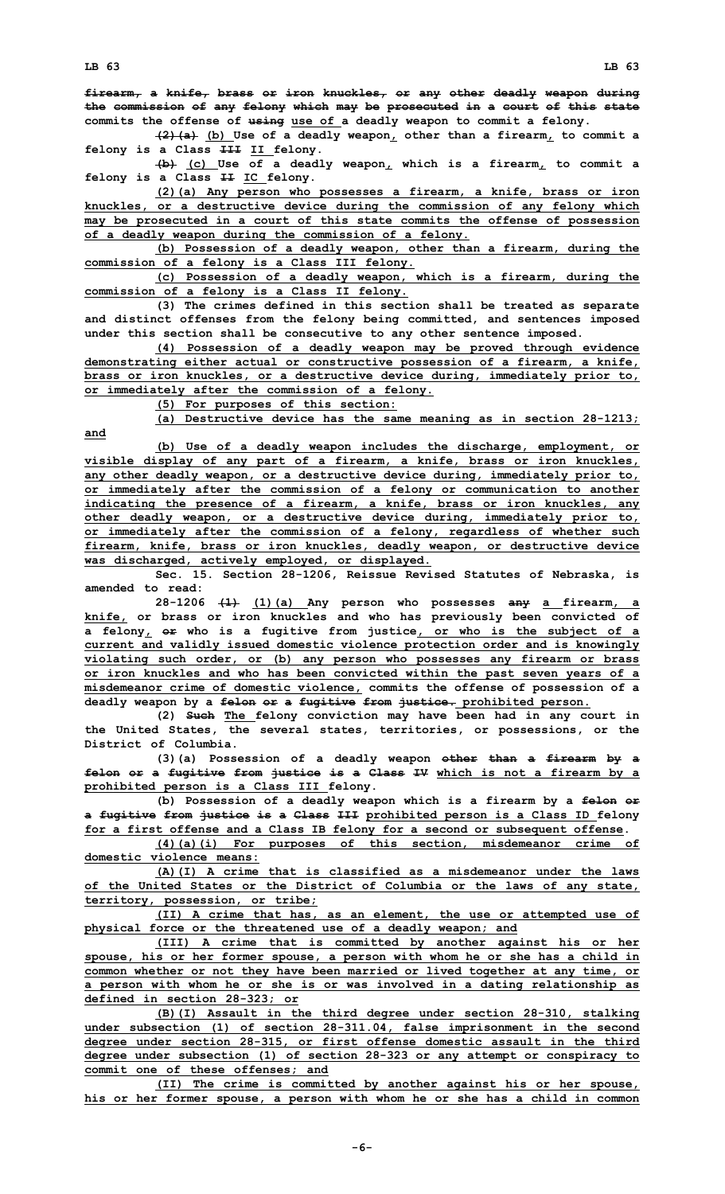**(2)(a) (b) Use of <sup>a</sup> deadly weapon, other than <sup>a</sup> firearm, to commit <sup>a</sup> felony is <sup>a</sup> Class III II felony.**

**(b) (c) Use of <sup>a</sup> deadly weapon, which is <sup>a</sup> firearm, to commit <sup>a</sup> felony is <sup>a</sup> Class II IC felony.**

**(2)(a) Any person who possesses <sup>a</sup> firearm, <sup>a</sup> knife, brass or iron knuckles, or <sup>a</sup> destructive device during the commission of any felony which may be prosecuted in <sup>a</sup> court of this state commits the offense of possession of <sup>a</sup> deadly weapon during the commission of <sup>a</sup> felony.**

**(b) Possession of <sup>a</sup> deadly weapon, other than <sup>a</sup> firearm, during the commission of <sup>a</sup> felony is <sup>a</sup> Class III felony.**

**(c) Possession of <sup>a</sup> deadly weapon, which is <sup>a</sup> firearm, during the commission of <sup>a</sup> felony is <sup>a</sup> Class II felony.**

**(3) The crimes defined in this section shall be treated as separate and distinct offenses from the felony being committed, and sentences imposed under this section shall be consecutive to any other sentence imposed.**

**(4) Possession of <sup>a</sup> deadly weapon may be proved through evidence demonstrating either actual or constructive possession of <sup>a</sup> firearm, <sup>a</sup> knife, brass or iron knuckles, or <sup>a</sup> destructive device during, immediately prior to, or immediately after the commission of <sup>a</sup> felony.**

**(5) For purposes of this section:**

**(a) Destructive device has the same meaning as in section 28-1213; and**

**(b) Use of <sup>a</sup> deadly weapon includes the discharge, employment, or visible display of any part of <sup>a</sup> firearm, <sup>a</sup> knife, brass or iron knuckles, any other deadly weapon, or <sup>a</sup> destructive device during, immediately prior to, or immediately after the commission of <sup>a</sup> felony or communication to another indicating the presence of <sup>a</sup> firearm, <sup>a</sup> knife, brass or iron knuckles, any other deadly weapon, or <sup>a</sup> destructive device during, immediately prior to, or immediately after the commission of <sup>a</sup> felony, regardless of whether such firearm, knife, brass or iron knuckles, deadly weapon, or destructive device was discharged, actively employed, or displayed.**

**Sec. 15. Section 28-1206, Reissue Revised Statutes of Nebraska, is amended to read:**

**28-1206 (1) (1)(a) Any person who possesses any <sup>a</sup> firearm, <sup>a</sup> knife, or brass or iron knuckles and who has previously been convicted of <sup>a</sup> felony, or who is <sup>a</sup> fugitive from justice, or who is the subject of <sup>a</sup> current and validly issued domestic violence protection order and is knowingly violating such order, or (b) any person who possesses any firearm or brass or iron knuckles and who has been convicted within the past seven years of <sup>a</sup> misdemeanor crime of domestic violence, commits the offense of possession of <sup>a</sup> deadly weapon by <sup>a</sup> felon or <sup>a</sup> fugitive from justice. prohibited person.**

**(2) Such The felony conviction may have been had in any court in the United States, the several states, territories, or possessions, or the District of Columbia.**

**(3)(a) Possession of <sup>a</sup> deadly weapon other than <sup>a</sup> firearm by <sup>a</sup> felon or <sup>a</sup> fugitive from justice is <sup>a</sup> Class IV which is not <sup>a</sup> firearm by <sup>a</sup> prohibited person is <sup>a</sup> Class III felony.**

**(b) Possession of <sup>a</sup> deadly weapon which is <sup>a</sup> firearm by <sup>a</sup> felon or <sup>a</sup> fugitive from justice is <sup>a</sup> Class III prohibited person is <sup>a</sup> Class ID felony for <sup>a</sup> first offense and <sup>a</sup> Class IB felony for <sup>a</sup> second or subsequent offense.**

**(4)(a)(i) For purposes of this section, misdemeanor crime of domestic violence means:**

**(A)(I) A crime that is classified as <sup>a</sup> misdemeanor under the laws of the United States or the District of Columbia or the laws of any state, territory, possession, or tribe;**

**(II) <sup>A</sup> crime that has, as an element, the use or attempted use of physical force or the threatened use of <sup>a</sup> deadly weapon; and**

**(III) <sup>A</sup> crime that is committed by another against his or her spouse, his or her former spouse, <sup>a</sup> person with whom he or she has <sup>a</sup> child in common whether or not they have been married or lived together at any time, or <sup>a</sup> person with whom he or she is or was involved in <sup>a</sup> dating relationship as defined in section 28-323; or**

**(B)(I) Assault in the third degree under section 28-310, stalking under subsection (1) of section 28-311.04, false imprisonment in the second degree under section 28-315, or first offense domestic assault in the third degree under subsection (1) of section 28-323 or any attempt or conspiracy to commit one of these offenses; and**

**(II) The crime is committed by another against his or her spouse, his or her former spouse, <sup>a</sup> person with whom he or she has <sup>a</sup> child in common**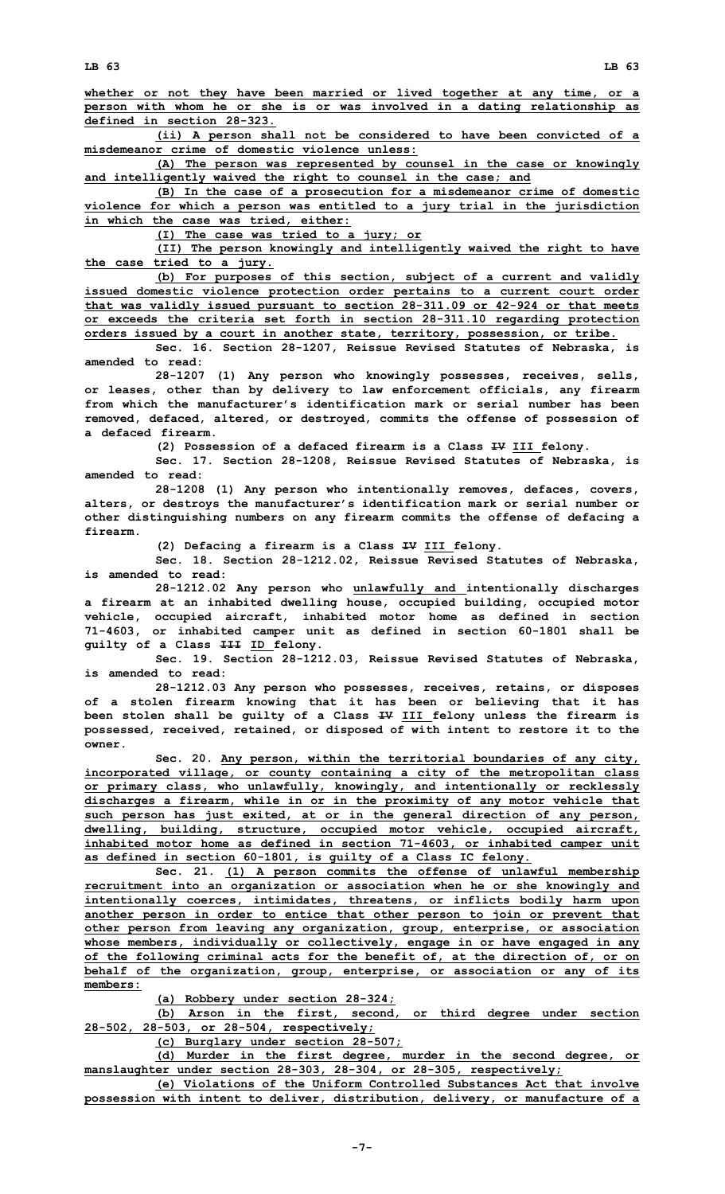**(ii) <sup>A</sup> person shall not be considered to have been convicted of <sup>a</sup> misdemeanor crime of domestic violence unless:**

**(A) The person was represented by counsel in the case or knowingly and intelligently waived the right to counsel in the case; and**

**(B) In the case of <sup>a</sup> prosecution for <sup>a</sup> misdemeanor crime of domestic violence for which <sup>a</sup> person was entitled to <sup>a</sup> jury trial in the jurisdiction in which the case was tried, either:**

**(I) The case was tried to <sup>a</sup> jury; or**

**(II) The person knowingly and intelligently waived the right to have the case tried to <sup>a</sup> jury.**

**(b) For purposes of this section, subject of <sup>a</sup> current and validly issued domestic violence protection order pertains to <sup>a</sup> current court order that was validly issued pursuant to section 28-311.09 or 42-924 or that meets or exceeds the criteria set forth in section 28-311.10 regarding protection orders issued by <sup>a</sup> court in another state, territory, possession, or tribe.**

**Sec. 16. Section 28-1207, Reissue Revised Statutes of Nebraska, is amended to read:**

**28-1207 (1) Any person who knowingly possesses, receives, sells, or leases, other than by delivery to law enforcement officials, any firearm from which the manufacturer's identification mark or serial number has been removed, defaced, altered, or destroyed, commits the offense of possession of a defaced firearm.**

**(2) Possession of <sup>a</sup> defaced firearm is <sup>a</sup> Class IV III felony.**

**Sec. 17. Section 28-1208, Reissue Revised Statutes of Nebraska, is amended to read:**

**28-1208 (1) Any person who intentionally removes, defaces, covers, alters, or destroys the manufacturer's identification mark or serial number or other distinguishing numbers on any firearm commits the offense of defacing <sup>a</sup> firearm.**

**(2) Defacing <sup>a</sup> firearm is <sup>a</sup> Class IV III felony.**

**Sec. 18. Section 28-1212.02, Reissue Revised Statutes of Nebraska, is amended to read:**

**28-1212.02 Any person who unlawfully and intentionally discharges <sup>a</sup> firearm at an inhabited dwelling house, occupied building, occupied motor vehicle, occupied aircraft, inhabited motor home as defined in section 71-4603, or inhabited camper unit as defined in section 60-1801 shall be guilty of <sup>a</sup> Class III ID felony.**

**Sec. 19. Section 28-1212.03, Reissue Revised Statutes of Nebraska, is amended to read:**

**28-1212.03 Any person who possesses, receives, retains, or disposes of <sup>a</sup> stolen firearm knowing that it has been or believing that it has been stolen shall be guilty of <sup>a</sup> Class IV III felony unless the firearm is possessed, received, retained, or disposed of with intent to restore it to the owner.**

**Sec. 20. Any person, within the territorial boundaries of any city, incorporated village, or county containing <sup>a</sup> city of the metropolitan class or primary class, who unlawfully, knowingly, and intentionally or recklessly discharges <sup>a</sup> firearm, while in or in the proximity of any motor vehicle that such person has just exited, at or in the general direction of any person, dwelling, building, structure, occupied motor vehicle, occupied aircraft, inhabited motor home as defined in section 71-4603, or inhabited camper unit as defined in section 60-1801, is guilty of <sup>a</sup> Class IC felony.**

**Sec. 21. (1) <sup>A</sup> person commits the offense of unlawful membership recruitment into an organization or association when he or she knowingly and intentionally coerces, intimidates, threatens, or inflicts bodily harm upon another person in order to entice that other person to join or prevent that other person from leaving any organization, group, enterprise, or association whose members, individually or collectively, engage in or have engaged in any of the following criminal acts for the benefit of, at the direction of, or on behalf of the organization, group, enterprise, or association or any of its members:**

**(a) Robbery under section 28-324;**

**(b) Arson in the first, second, or third degree under section 28-502, 28-503, or 28-504, respectively;**

**(c) Burglary under section 28-507;**

**(d) Murder in the first degree, murder in the second degree, or manslaughter under section 28-303, 28-304, or 28-305, respectively;**

**(e) Violations of the Uniform Controlled Substances Act that involve possession with intent to deliver, distribution, delivery, or manufacture of <sup>a</sup>**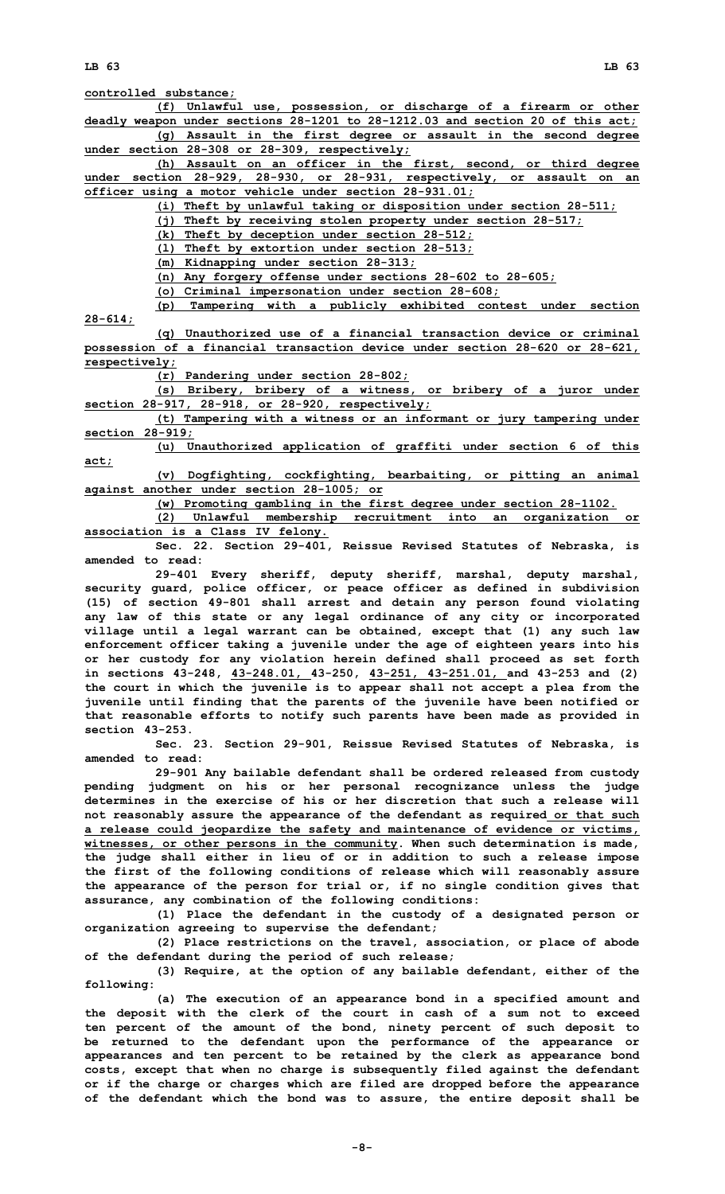**controlled substance;**

**(f) Unlawful use, possession, or discharge of <sup>a</sup> firearm or other deadly weapon under sections 28-1201 to 28-1212.03 and section 20 of this act; (g) Assault in the first degree or assault in the second degree under section 28-308 or 28-309, respectively;**

**(h) Assault on an officer in the first, second, or third degree under section 28-929, 28-930, or 28-931, respectively, or assault on an officer using <sup>a</sup> motor vehicle under section 28-931.01;**

**(i) Theft by unlawful taking or disposition under section 28-511;**

**(j) Theft by receiving stolen property under section 28-517;**

**(k) Theft by deception under section 28-512;**

**(l) Theft by extortion under section 28-513;**

**(m) Kidnapping under section 28-313;**

**(n) Any forgery offense under sections 28-602 to 28-605;**

**(o) Criminal impersonation under section 28-608; (p) Tampering with <sup>a</sup> publicly exhibited contest under section**

**28-614;**

**(q) Unauthorized use of <sup>a</sup> financial transaction device or criminal possession of <sup>a</sup> financial transaction device under section 28-620 or 28-621, respectively;**

**(r) Pandering under section 28-802;**

**(s) Bribery, bribery of <sup>a</sup> witness, or bribery of <sup>a</sup> juror under section 28-917, 28-918, or 28-920, respectively;**

**(t) Tampering with <sup>a</sup> witness or an informant or jury tampering under section 28-919;**

**(u) Unauthorized application of graffiti under section 6 of this act;**

**(v) Dogfighting, cockfighting, bearbaiting, or pitting an animal against another under section 28-1005; or**

**(w) Promoting gambling in the first degree under section 28-1102.**

**(2) Unlawful membership recruitment into an organization or association is <sup>a</sup> Class IV felony.**

**Sec. 22. Section 29-401, Reissue Revised Statutes of Nebraska, is amended to read:**

**29-401 Every sheriff, deputy sheriff, marshal, deputy marshal, security guard, police officer, or peace officer as defined in subdivision (15) of section 49-801 shall arrest and detain any person found violating any law of this state or any legal ordinance of any city or incorporated village until <sup>a</sup> legal warrant can be obtained, except that (1) any such law enforcement officer taking <sup>a</sup> juvenile under the age of eighteen years into his or her custody for any violation herein defined shall proceed as set forth in sections 43-248, 43-248.01, 43-250, 43-251, 43-251.01, and 43-253 and (2) the court in which the juvenile is to appear shall not accept <sup>a</sup> plea from the juvenile until finding that the parents of the juvenile have been notified or that reasonable efforts to notify such parents have been made as provided in section 43-253.**

**Sec. 23. Section 29-901, Reissue Revised Statutes of Nebraska, is amended to read:**

**29-901 Any bailable defendant shall be ordered released from custody pending judgment on his or her personal recognizance unless the judge determines in the exercise of his or her discretion that such a release will not reasonably assure the appearance of the defendant as required or that such <sup>a</sup> release could jeopardize the safety and maintenance of evidence or victims, witnesses, or other persons in the community. When such determination is made, the judge shall either in lieu of or in addition to such <sup>a</sup> release impose the first of the following conditions of release which will reasonably assure the appearance of the person for trial or, if no single condition gives that assurance, any combination of the following conditions:**

**(1) Place the defendant in the custody of <sup>a</sup> designated person or organization agreeing to supervise the defendant;**

**(2) Place restrictions on the travel, association, or place of abode of the defendant during the period of such release;**

**(3) Require, at the option of any bailable defendant, either of the following:**

**(a) The execution of an appearance bond in <sup>a</sup> specified amount and the deposit with the clerk of the court in cash of <sup>a</sup> sum not to exceed ten percent of the amount of the bond, ninety percent of such deposit to be returned to the defendant upon the performance of the appearance or appearances and ten percent to be retained by the clerk as appearance bond costs, except that when no charge is subsequently filed against the defendant or if the charge or charges which are filed are dropped before the appearance of the defendant which the bond was to assure, the entire deposit shall be**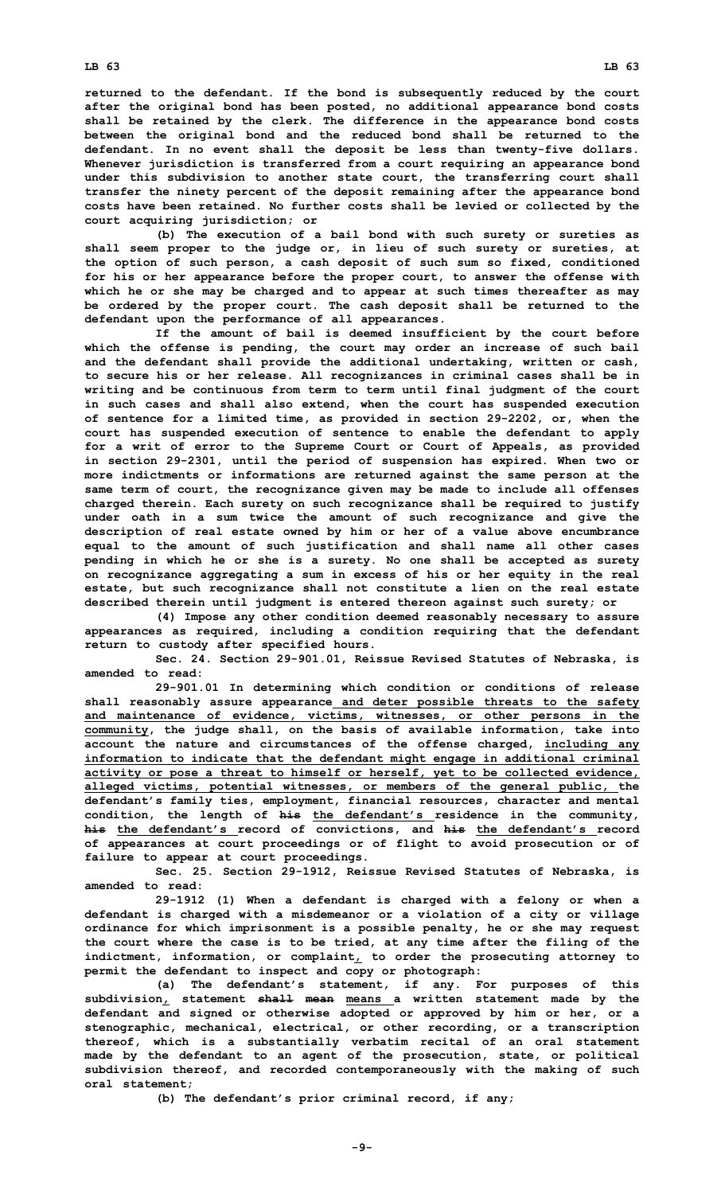**returned to the defendant. If the bond is subsequently reduced by the court after the original bond has been posted, no additional appearance bond costs shall be retained by the clerk. The difference in the appearance bond costs between the original bond and the reduced bond shall be returned to the defendant. In no event shall the deposit be less than twenty-five dollars. Whenever jurisdiction is transferred from <sup>a</sup> court requiring an appearance bond under this subdivision to another state court, the transferring court shall transfer the ninety percent of the deposit remaining after the appearance bond costs have been retained. No further costs shall be levied or collected by the court acquiring jurisdiction; or**

**(b) The execution of <sup>a</sup> bail bond with such surety or sureties as shall seem proper to the judge or, in lieu of such surety or sureties, at the option of such person, <sup>a</sup> cash deposit of such sum so fixed, conditioned for his or her appearance before the proper court, to answer the offense with which he or she may be charged and to appear at such times thereafter as may be ordered by the proper court. The cash deposit shall be returned to the defendant upon the performance of all appearances.**

**If the amount of bail is deemed insufficient by the court before which the offense is pending, the court may order an increase of such bail and the defendant shall provide the additional undertaking, written or cash, to secure his or her release. All recognizances in criminal cases shall be in writing and be continuous from term to term until final judgment of the court in such cases and shall also extend, when the court has suspended execution of sentence for <sup>a</sup> limited time, as provided in section 29-2202, or, when the court has suspended execution of sentence to enable the defendant to apply for <sup>a</sup> writ of error to the Supreme Court or Court of Appeals, as provided in section 29-2301, until the period of suspension has expired. When two or more indictments or informations are returned against the same person at the same term of court, the recognizance given may be made to include all offenses charged therein. Each surety on such recognizance shall be required to justify under oath in <sup>a</sup> sum twice the amount of such recognizance and give the description of real estate owned by him or her of <sup>a</sup> value above encumbrance equal to the amount of such justification and shall name all other cases pending in which he or she is <sup>a</sup> surety. No one shall be accepted as surety on recognizance aggregating <sup>a</sup> sum in excess of his or her equity in the real estate, but such recognizance shall not constitute <sup>a</sup> lien on the real estate described therein until judgment is entered thereon against such surety; or**

**(4) Impose any other condition deemed reasonably necessary to assure appearances as required, including <sup>a</sup> condition requiring that the defendant return to custody after specified hours.**

**Sec. 24. Section 29-901.01, Reissue Revised Statutes of Nebraska, is amended to read:**

**29-901.01 In determining which condition or conditions of release shall reasonably assure appearance and deter possible threats to the safety and maintenance of evidence, victims, witnesses, or other persons in the community, the judge shall, on the basis of available information, take into account the nature and circumstances of the offense charged, including any information to indicate that the defendant might engage in additional criminal activity or pose <sup>a</sup> threat to himself or herself, yet to be collected evidence, alleged victims, potential witnesses, or members of the general public, the defendant's family ties, employment, financial resources, character and mental condition, the length of his the defendant's residence in the community, his the defendant's record of convictions, and his the defendant's record of appearances at court proceedings or of flight to avoid prosecution or of failure to appear at court proceedings.**

**Sec. 25. Section 29-1912, Reissue Revised Statutes of Nebraska, is amended to read:**

**29-1912 (1) When <sup>a</sup> defendant is charged with <sup>a</sup> felony or when <sup>a</sup> defendant is charged with <sup>a</sup> misdemeanor or <sup>a</sup> violation of <sup>a</sup> city or village ordinance for which imprisonment is <sup>a</sup> possible penalty, he or she may request the court where the case is to be tried, at any time after the filing of the indictment, information, or complaint, to order the prosecuting attorney to permit the defendant to inspect and copy or photograph:**

**(a) The defendant's statement, if any. For purposes of this subdivision, statement shall mean means <sup>a</sup> written statement made by the defendant and signed or otherwise adopted or approved by him or her, or <sup>a</sup> stenographic, mechanical, electrical, or other recording, or <sup>a</sup> transcription thereof, which is <sup>a</sup> substantially verbatim recital of an oral statement made by the defendant to an agent of the prosecution, state, or political subdivision thereof, and recorded contemporaneously with the making of such oral statement;**

**(b) The defendant's prior criminal record, if any;**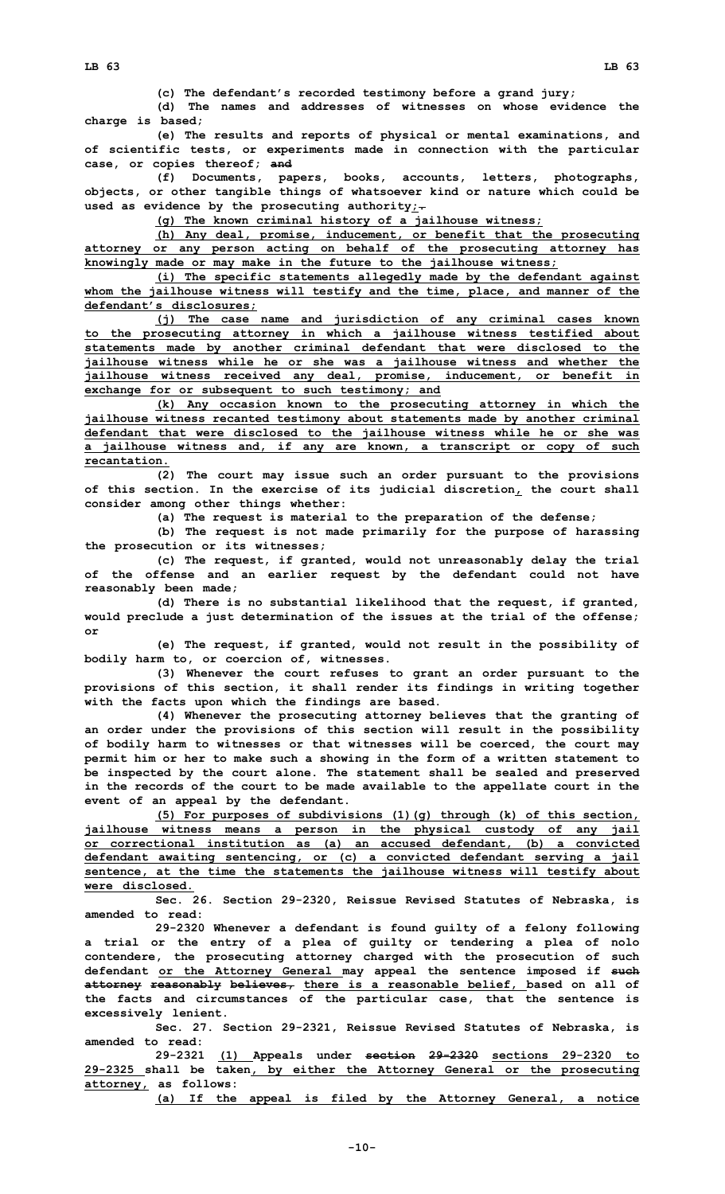**(c) The defendant's recorded testimony before <sup>a</sup> grand jury;**

**(d) The names and addresses of witnesses on whose evidence the charge is based;**

**(e) The results and reports of physical or mental examinations, and of scientific tests, or experiments made in connection with the particular case, or copies thereof; and**

**(f) Documents, papers, books, accounts, letters, photographs, objects, or other tangible things of whatsoever kind or nature which could be used as evidence by the prosecuting authority;.**

**(g) The known criminal history of <sup>a</sup> jailhouse witness;**

**(h) Any deal, promise, inducement, or benefit that the prosecuting attorney or any person acting on behalf of the prosecuting attorney has knowingly made or may make in the future to the jailhouse witness;**

**(i) The specific statements allegedly made by the defendant against whom the jailhouse witness will testify and the time, place, and manner of the defendant's disclosures;**

**(j) The case name and jurisdiction of any criminal cases known to the prosecuting attorney in which <sup>a</sup> jailhouse witness testified about statements made by another criminal defendant that were disclosed to the jailhouse witness while he or she was <sup>a</sup> jailhouse witness and whether the jailhouse witness received any deal, promise, inducement, or benefit in exchange for or subsequent to such testimony; and**

**(k) Any occasion known to the prosecuting attorney in which the jailhouse witness recanted testimony about statements made by another criminal defendant that were disclosed to the jailhouse witness while he or she was <sup>a</sup> jailhouse witness and, if any are known, <sup>a</sup> transcript or copy of such recantation.**

**(2) The court may issue such an order pursuant to the provisions of this section. In the exercise of its judicial discretion, the court shall consider among other things whether:**

**(a) The request is material to the preparation of the defense;**

**(b) The request is not made primarily for the purpose of harassing the prosecution or its witnesses;**

**(c) The request, if granted, would not unreasonably delay the trial of the offense and an earlier request by the defendant could not have reasonably been made;**

**(d) There is no substantial likelihood that the request, if granted, would preclude <sup>a</sup> just determination of the issues at the trial of the offense; or**

**(e) The request, if granted, would not result in the possibility of bodily harm to, or coercion of, witnesses.**

**(3) Whenever the court refuses to grant an order pursuant to the provisions of this section, it shall render its findings in writing together with the facts upon which the findings are based.**

**(4) Whenever the prosecuting attorney believes that the granting of an order under the provisions of this section will result in the possibility of bodily harm to witnesses or that witnesses will be coerced, the court may permit him or her to make such <sup>a</sup> showing in the form of <sup>a</sup> written statement to be inspected by the court alone. The statement shall be sealed and preserved in the records of the court to be made available to the appellate court in the event of an appeal by the defendant.**

**(5) For purposes of subdivisions (1)(g) through (k) of this section, jailhouse witness means <sup>a</sup> person in the physical custody of any jail or correctional institution as (a) an accused defendant, (b) <sup>a</sup> convicted defendant awaiting sentencing, or (c) <sup>a</sup> convicted defendant serving <sup>a</sup> jail sentence, at the time the statements the jailhouse witness will testify about were disclosed.**

**Sec. 26. Section 29-2320, Reissue Revised Statutes of Nebraska, is amended to read:**

**29-2320 Whenever <sup>a</sup> defendant is found guilty of <sup>a</sup> felony following <sup>a</sup> trial or the entry of <sup>a</sup> plea of guilty or tendering <sup>a</sup> plea of nolo contendere, the prosecuting attorney charged with the prosecution of such defendant or the Attorney General may appeal the sentence imposed if such attorney reasonably believes, there is <sup>a</sup> reasonable belief, based on all of the facts and circumstances of the particular case, that the sentence is excessively lenient.**

**Sec. 27. Section 29-2321, Reissue Revised Statutes of Nebraska, is amended to read:**

**29-2321 (1) Appeals under section 29-2320 sections 29-2320 to 29-2325 shall be taken, by either the Attorney General or the prosecuting attorney, as follows:**

**(a) If the appeal is filed by the Attorney General, <sup>a</sup> notice**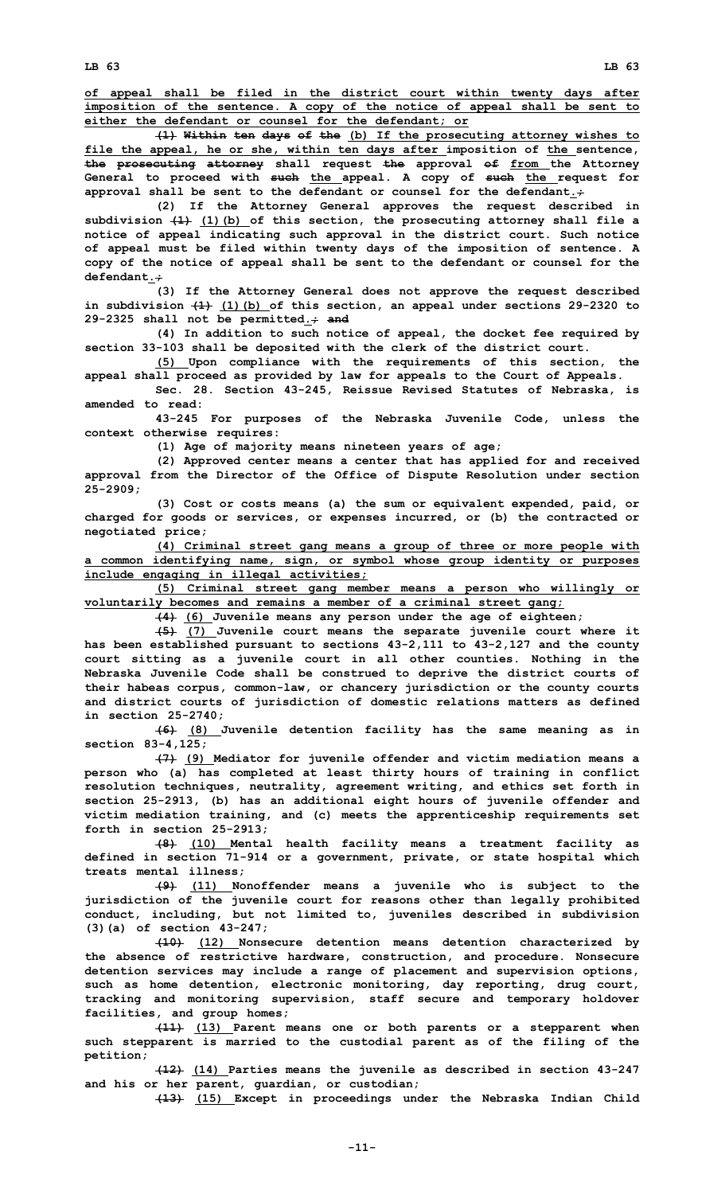**LB 63 LB 63**

**of appeal shall be filed in the district court within twenty days after imposition of the sentence. A copy of the notice of appeal shall be sent to either the defendant or counsel for the defendant; or**

**(1) Within ten days of the (b) If the prosecuting attorney wishes to file the appeal, he or she, within ten days after imposition of the sentence, the prosecuting attorney shall request the approval of from the Attorney General to proceed with such the appeal. A copy of such the request for approval shall be sent to the defendant or counsel for the defendant.;**

**(2) If the Attorney General approves the request described in subdivision (1) (1)(b) of this section, the prosecuting attorney shall file <sup>a</sup> notice of appeal indicating such approval in the district court. Such notice of appeal must be filed within twenty days of the imposition of sentence. A copy of the notice of appeal shall be sent to the defendant or counsel for the defendant.;**

**(3) If the Attorney General does not approve the request described in subdivision (1) (1)(b) of this section, an appeal under sections 29-2320 to 29-2325 shall not be permitted.; and**

**(4) In addition to such notice of appeal, the docket fee required by section 33-103 shall be deposited with the clerk of the district court.**

**(5) Upon compliance with the requirements of this section, the appeal shall proceed as provided by law for appeals to the Court of Appeals.**

**Sec. 28. Section 43-245, Reissue Revised Statutes of Nebraska, is amended to read:**

**43-245 For purposes of the Nebraska Juvenile Code, unless the context otherwise requires:**

**(1) Age of majority means nineteen years of age;**

**(2) Approved center means <sup>a</sup> center that has applied for and received approval from the Director of the Office of Dispute Resolution under section 25-2909;**

**(3) Cost or costs means (a) the sum or equivalent expended, paid, or charged for goods or services, or expenses incurred, or (b) the contracted or negotiated price;**

**(4) Criminal street gang means <sup>a</sup> group of three or more people with <sup>a</sup> common identifying name, sign, or symbol whose group identity or purposes include engaging in illegal activities;**

**(5) Criminal street gang member means <sup>a</sup> person who willingly or voluntarily becomes and remains <sup>a</sup> member of <sup>a</sup> criminal street gang;**

**(4) (6) Juvenile means any person under the age of eighteen;**

**(5) (7) Juvenile court means the separate juvenile court where it has been established pursuant to sections 43-2,111 to 43-2,127 and the county court sitting as <sup>a</sup> juvenile court in all other counties. Nothing in the Nebraska Juvenile Code shall be construed to deprive the district courts of their habeas corpus, common-law, or chancery jurisdiction or the county courts and district courts of jurisdiction of domestic relations matters as defined in section 25-2740;**

**(6) (8) Juvenile detention facility has the same meaning as in section 83-4,125;**

**(7) (9) Mediator for juvenile offender and victim mediation means <sup>a</sup> person who (a) has completed at least thirty hours of training in conflict resolution techniques, neutrality, agreement writing, and ethics set forth in section 25-2913, (b) has an additional eight hours of juvenile offender and victim mediation training, and (c) meets the apprenticeship requirements set forth in section 25-2913;**

**(8) (10) Mental health facility means <sup>a</sup> treatment facility as defined in section 71-914 or <sup>a</sup> government, private, or state hospital which treats mental illness;**

**(9) (11) Nonoffender means <sup>a</sup> juvenile who is subject to the jurisdiction of the juvenile court for reasons other than legally prohibited conduct, including, but not limited to, juveniles described in subdivision (3)(a) of section 43-247;**

**(10) (12) Nonsecure detention means detention characterized by the absence of restrictive hardware, construction, and procedure. Nonsecure detention services may include <sup>a</sup> range of placement and supervision options, such as home detention, electronic monitoring, day reporting, drug court, tracking and monitoring supervision, staff secure and temporary holdover facilities, and group homes;**

**(11) (13) Parent means one or both parents or <sup>a</sup> stepparent when such stepparent is married to the custodial parent as of the filing of the petition;**

**(12) (14) Parties means the juvenile as described in section 43-247 and his or her parent, guardian, or custodian;**

**(13) (15) Except in proceedings under the Nebraska Indian Child**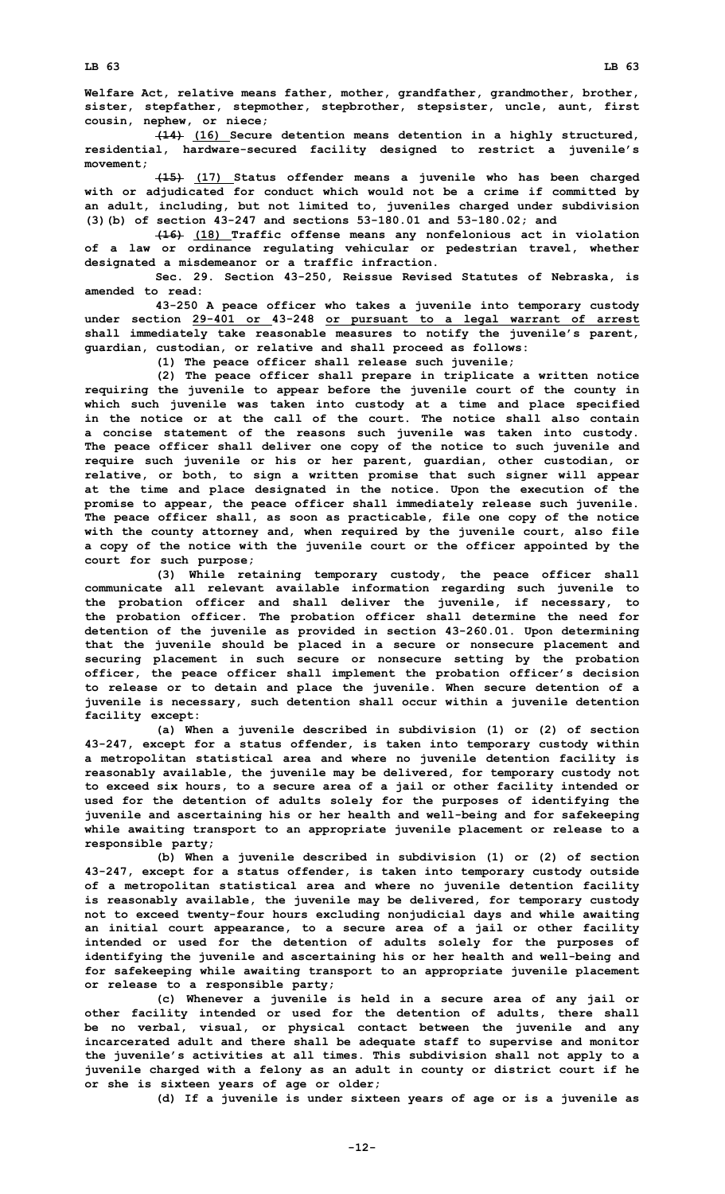**Welfare Act, relative means father, mother, grandfather, grandmother, brother, sister, stepfather, stepmother, stepbrother, stepsister, uncle, aunt, first cousin, nephew, or niece;**

**(14) (16) Secure detention means detention in <sup>a</sup> highly structured, residential, hardware-secured facility designed to restrict <sup>a</sup> juvenile's movement;**

**(15) (17) Status offender means <sup>a</sup> juvenile who has been charged with or adjudicated for conduct which would not be <sup>a</sup> crime if committed by an adult, including, but not limited to, juveniles charged under subdivision (3)(b) of section 43-247 and sections 53-180.01 and 53-180.02; and**

**(16) (18) Traffic offense means any nonfelonious act in violation of <sup>a</sup> law or ordinance regulating vehicular or pedestrian travel, whether designated <sup>a</sup> misdemeanor or <sup>a</sup> traffic infraction.**

**Sec. 29. Section 43-250, Reissue Revised Statutes of Nebraska, is amended to read:**

**43-250 <sup>A</sup> peace officer who takes <sup>a</sup> juvenile into temporary custody under section 29-401 or 43-248 or pursuant to <sup>a</sup> legal warrant of arrest shall immediately take reasonable measures to notify the juvenile's parent, guardian, custodian, or relative and shall proceed as follows:**

**(1) The peace officer shall release such juvenile;**

**(2) The peace officer shall prepare in triplicate <sup>a</sup> written notice requiring the juvenile to appear before the juvenile court of the county in which such juvenile was taken into custody at <sup>a</sup> time and place specified in the notice or at the call of the court. The notice shall also contain <sup>a</sup> concise statement of the reasons such juvenile was taken into custody. The peace officer shall deliver one copy of the notice to such juvenile and require such juvenile or his or her parent, guardian, other custodian, or relative, or both, to sign <sup>a</sup> written promise that such signer will appear at the time and place designated in the notice. Upon the execution of the promise to appear, the peace officer shall immediately release such juvenile. The peace officer shall, as soon as practicable, file one copy of the notice with the county attorney and, when required by the juvenile court, also file <sup>a</sup> copy of the notice with the juvenile court or the officer appointed by the court for such purpose;**

**(3) While retaining temporary custody, the peace officer shall communicate all relevant available information regarding such juvenile to the probation officer and shall deliver the juvenile, if necessary, to the probation officer. The probation officer shall determine the need for detention of the juvenile as provided in section 43-260.01. Upon determining that the juvenile should be placed in <sup>a</sup> secure or nonsecure placement and securing placement in such secure or nonsecure setting by the probation officer, the peace officer shall implement the probation officer's decision to release or to detain and place the juvenile. When secure detention of <sup>a</sup> juvenile is necessary, such detention shall occur within <sup>a</sup> juvenile detention facility except:**

**(a) When <sup>a</sup> juvenile described in subdivision (1) or (2) of section 43-247, except for <sup>a</sup> status offender, is taken into temporary custody within <sup>a</sup> metropolitan statistical area and where no juvenile detention facility is reasonably available, the juvenile may be delivered, for temporary custody not to exceed six hours, to <sup>a</sup> secure area of <sup>a</sup> jail or other facility intended or used for the detention of adults solely for the purposes of identifying the juvenile and ascertaining his or her health and well-being and for safekeeping while awaiting transport to an appropriate juvenile placement or release to <sup>a</sup> responsible party;**

**(b) When <sup>a</sup> juvenile described in subdivision (1) or (2) of section 43-247, except for <sup>a</sup> status offender, is taken into temporary custody outside of <sup>a</sup> metropolitan statistical area and where no juvenile detention facility is reasonably available, the juvenile may be delivered, for temporary custody not to exceed twenty-four hours excluding nonjudicial days and while awaiting an initial court appearance, to <sup>a</sup> secure area of <sup>a</sup> jail or other facility intended or used for the detention of adults solely for the purposes of identifying the juvenile and ascertaining his or her health and well-being and for safekeeping while awaiting transport to an appropriate juvenile placement or release to <sup>a</sup> responsible party;**

**(c) Whenever <sup>a</sup> juvenile is held in <sup>a</sup> secure area of any jail or other facility intended or used for the detention of adults, there shall be no verbal, visual, or physical contact between the juvenile and any incarcerated adult and there shall be adequate staff to supervise and monitor the juvenile's activities at all times. This subdivision shall not apply to <sup>a</sup> juvenile charged with <sup>a</sup> felony as an adult in county or district court if he or she is sixteen years of age or older;**

**(d) If <sup>a</sup> juvenile is under sixteen years of age or is <sup>a</sup> juvenile as**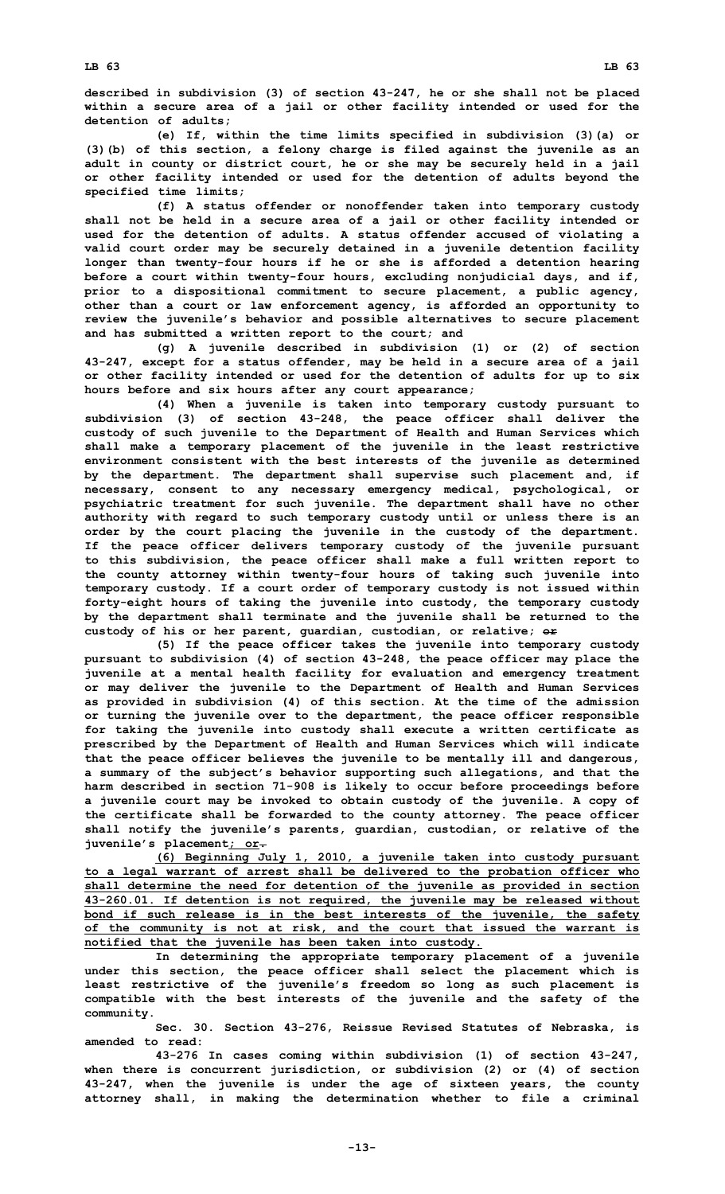**described in subdivision (3) of section 43-247, he or she shall not be placed within <sup>a</sup> secure area of <sup>a</sup> jail or other facility intended or used for the detention of adults;**

**(e) If, within the time limits specified in subdivision (3)(a) or (3)(b) of this section, <sup>a</sup> felony charge is filed against the juvenile as an adult in county or district court, he or she may be securely held in <sup>a</sup> jail or other facility intended or used for the detention of adults beyond the specified time limits;**

**(f) <sup>A</sup> status offender or nonoffender taken into temporary custody shall not be held in <sup>a</sup> secure area of <sup>a</sup> jail or other facility intended or used for the detention of adults. A status offender accused of violating <sup>a</sup> valid court order may be securely detained in <sup>a</sup> juvenile detention facility longer than twenty-four hours if he or she is afforded <sup>a</sup> detention hearing before <sup>a</sup> court within twenty-four hours, excluding nonjudicial days, and if, prior to <sup>a</sup> dispositional commitment to secure placement, <sup>a</sup> public agency, other than <sup>a</sup> court or law enforcement agency, is afforded an opportunity to review the juvenile's behavior and possible alternatives to secure placement and has submitted <sup>a</sup> written report to the court; and**

**(g) <sup>A</sup> juvenile described in subdivision (1) or (2) of section 43-247, except for <sup>a</sup> status offender, may be held in <sup>a</sup> secure area of <sup>a</sup> jail or other facility intended or used for the detention of adults for up to six hours before and six hours after any court appearance;**

**(4) When <sup>a</sup> juvenile is taken into temporary custody pursuant to subdivision (3) of section 43-248, the peace officer shall deliver the custody of such juvenile to the Department of Health and Human Services which shall make <sup>a</sup> temporary placement of the juvenile in the least restrictive environment consistent with the best interests of the juvenile as determined by the department. The department shall supervise such placement and, if necessary, consent to any necessary emergency medical, psychological, or psychiatric treatment for such juvenile. The department shall have no other authority with regard to such temporary custody until or unless there is an order by the court placing the juvenile in the custody of the department. If the peace officer delivers temporary custody of the juvenile pursuant to this subdivision, the peace officer shall make <sup>a</sup> full written report to the county attorney within twenty-four hours of taking such juvenile into temporary custody. If <sup>a</sup> court order of temporary custody is not issued within forty-eight hours of taking the juvenile into custody, the temporary custody by the department shall terminate and the juvenile shall be returned to the custody of his or her parent, guardian, custodian, or relative; or**

**(5) If the peace officer takes the juvenile into temporary custody pursuant to subdivision (4) of section 43-248, the peace officer may place the juvenile at <sup>a</sup> mental health facility for evaluation and emergency treatment or may deliver the juvenile to the Department of Health and Human Services as provided in subdivision (4) of this section. At the time of the admission or turning the juvenile over to the department, the peace officer responsible for taking the juvenile into custody shall execute <sup>a</sup> written certificate as prescribed by the Department of Health and Human Services which will indicate that the peace officer believes the juvenile to be mentally ill and dangerous, <sup>a</sup> summary of the subject's behavior supporting such allegations, and that the harm described in section 71-908 is likely to occur before proceedings before <sup>a</sup> juvenile court may be invoked to obtain custody of the juvenile. A copy of the certificate shall be forwarded to the county attorney. The peace officer shall notify the juvenile's parents, guardian, custodian, or relative of the juvenile's placement; or.**

**(6) Beginning July 1, 2010, <sup>a</sup> juvenile taken into custody pursuant to <sup>a</sup> legal warrant of arrest shall be delivered to the probation officer who shall determine the need for detention of the juvenile as provided in section 43-260.01. If detention is not required, the juvenile may be released without bond if such release is in the best interests of the juvenile, the safety of the community is not at risk, and the court that issued the warrant is notified that the juvenile has been taken into custody.**

**In determining the appropriate temporary placement of <sup>a</sup> juvenile under this section, the peace officer shall select the placement which is least restrictive of the juvenile's freedom so long as such placement is compatible with the best interests of the juvenile and the safety of the community.**

**Sec. 30. Section 43-276, Reissue Revised Statutes of Nebraska, is amended to read:**

**43-276 In cases coming within subdivision (1) of section 43-247, when there is concurrent jurisdiction, or subdivision (2) or (4) of section 43-247, when the juvenile is under the age of sixteen years, the county attorney shall, in making the determination whether to file <sup>a</sup> criminal**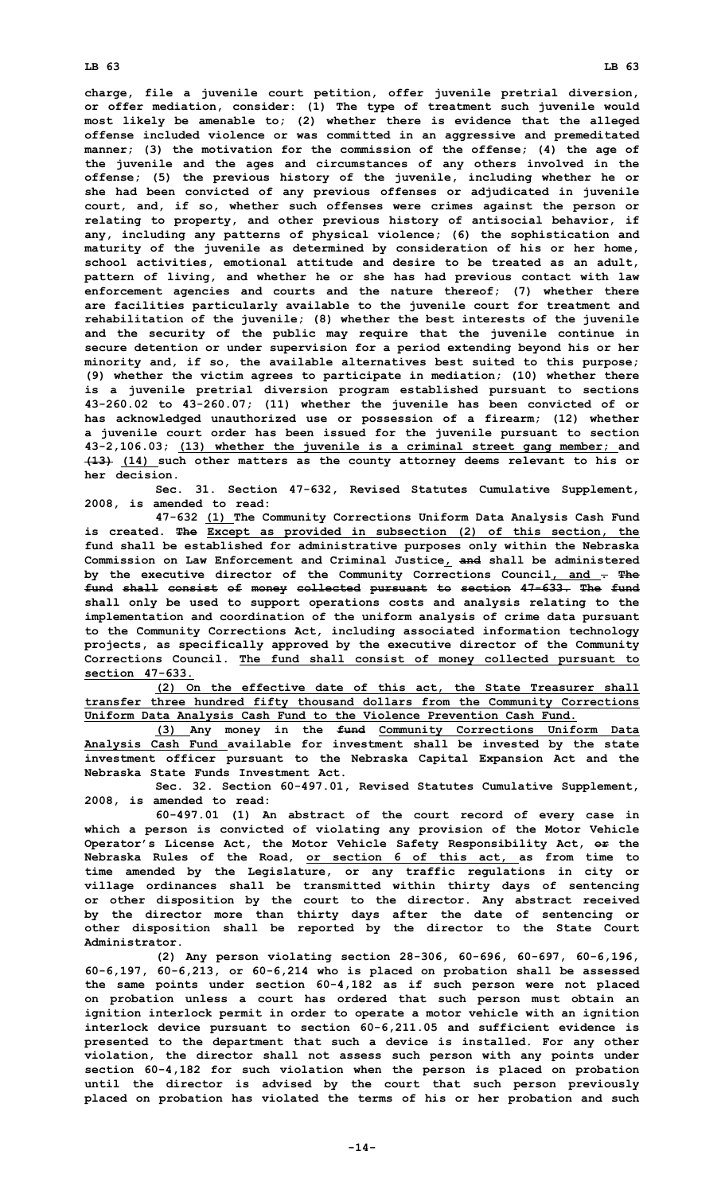## **LB 63 LB 63**

**charge, file <sup>a</sup> juvenile court petition, offer juvenile pretrial diversion, or offer mediation, consider: (1) The type of treatment such juvenile would most likely be amenable to; (2) whether there is evidence that the alleged offense included violence or was committed in an aggressive and premeditated manner; (3) the motivation for the commission of the offense; (4) the age of the juvenile and the ages and circumstances of any others involved in the offense; (5) the previous history of the juvenile, including whether he or she had been convicted of any previous offenses or adjudicated in juvenile court, and, if so, whether such offenses were crimes against the person or relating to property, and other previous history of antisocial behavior, if any, including any patterns of physical violence; (6) the sophistication and maturity of the juvenile as determined by consideration of his or her home, school activities, emotional attitude and desire to be treated as an adult, pattern of living, and whether he or she has had previous contact with law enforcement agencies and courts and the nature thereof; (7) whether there are facilities particularly available to the juvenile court for treatment and rehabilitation of the juvenile; (8) whether the best interests of the juvenile and the security of the public may require that the juvenile continue in secure detention or under supervision for <sup>a</sup> period extending beyond his or her minority and, if so, the available alternatives best suited to this purpose; (9) whether the victim agrees to participate in mediation; (10) whether there is <sup>a</sup> juvenile pretrial diversion program established pursuant to sections 43-260.02 to 43-260.07; (11) whether the juvenile has been convicted of or has acknowledged unauthorized use or possession of <sup>a</sup> firearm; (12) whether <sup>a</sup> juvenile court order has been issued for the juvenile pursuant to section 43-2,106.03; (13) whether the juvenile is <sup>a</sup> criminal street gang member; and (13) (14) such other matters as the county attorney deems relevant to his or her decision.**

**Sec. 31. Section 47-632, Revised Statutes Cumulative Supplement, 2008, is amended to read:**

**47-632 (1) The Community Corrections Uniform Data Analysis Cash Fund is created. The Except as provided in subsection (2) of this section, the fund shall be established for administrative purposes only within the Nebraska Commission on Law Enforcement and Criminal Justice, and shall be administered by the executive director of the Community Corrections Council, and . The fund shall consist of money collected pursuant to section 47-633. The fund shall only be used to support operations costs and analysis relating to the implementation and coordination of the uniform analysis of crime data pursuant to the Community Corrections Act, including associated information technology projects, as specifically approved by the executive director of the Community Corrections Council. The fund shall consist of money collected pursuant to section 47-633.**

**(2) On the effective date of this act, the State Treasurer shall transfer three hundred fifty thousand dollars from the Community Corrections Uniform Data Analysis Cash Fund to the Violence Prevention Cash Fund.**

**(3) Any money in the fund Community Corrections Uniform Data Analysis Cash Fund available for investment shall be invested by the state investment officer pursuant to the Nebraska Capital Expansion Act and the Nebraska State Funds Investment Act.**

**Sec. 32. Section 60-497.01, Revised Statutes Cumulative Supplement, 2008, is amended to read:**

**60-497.01 (1) An abstract of the court record of every case in which <sup>a</sup> person is convicted of violating any provision of the Motor Vehicle Operator's License Act, the Motor Vehicle Safety Responsibility Act, or the Nebraska Rules of the Road, or section 6 of this act, as from time to time amended by the Legislature, or any traffic regulations in city or village ordinances shall be transmitted within thirty days of sentencing or other disposition by the court to the director. Any abstract received by the director more than thirty days after the date of sentencing or other disposition shall be reported by the director to the State Court Administrator.**

**(2) Any person violating section 28-306, 60-696, 60-697, 60-6,196, 60-6,197, 60-6,213, or 60-6,214 who is placed on probation shall be assessed the same points under section 60-4,182 as if such person were not placed on probation unless <sup>a</sup> court has ordered that such person must obtain an ignition interlock permit in order to operate <sup>a</sup> motor vehicle with an ignition interlock device pursuant to section 60-6,211.05 and sufficient evidence is presented to the department that such <sup>a</sup> device is installed. For any other violation, the director shall not assess such person with any points under section 60-4,182 for such violation when the person is placed on probation until the director is advised by the court that such person previously placed on probation has violated the terms of his or her probation and such**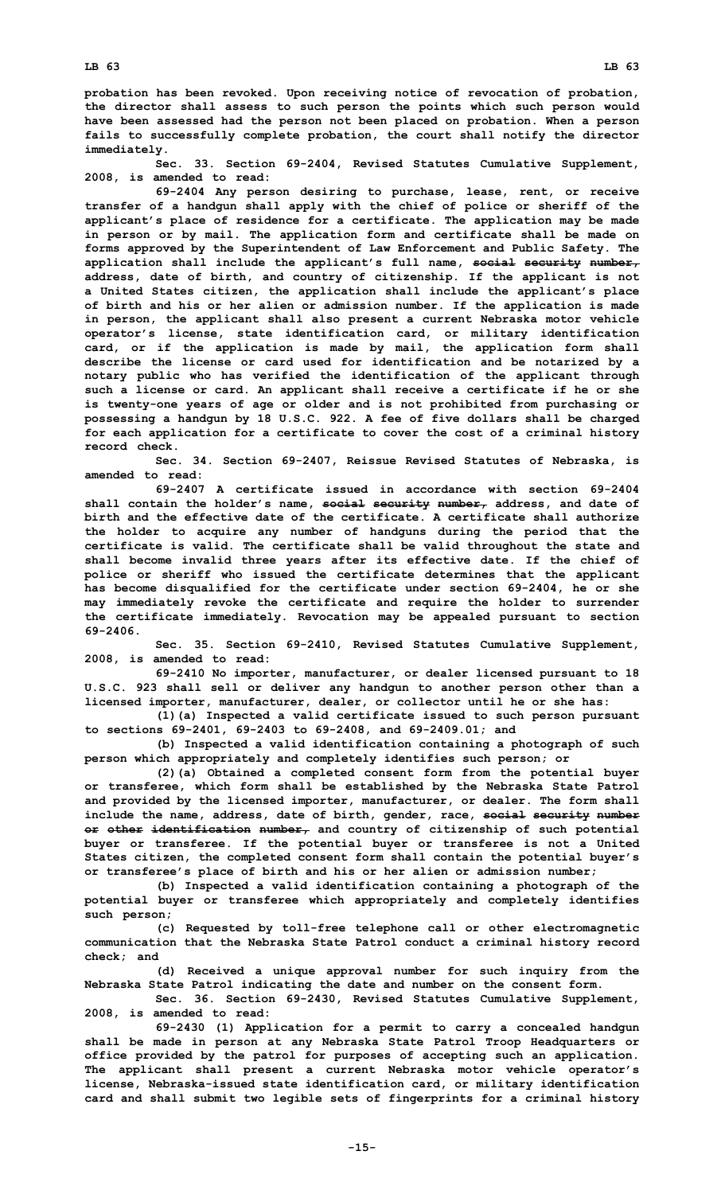**probation has been revoked. Upon receiving notice of revocation of probation, the director shall assess to such person the points which such person would have been assessed had the person not been placed on probation. When <sup>a</sup> person fails to successfully complete probation, the court shall notify the director immediately.**

**Sec. 33. Section 69-2404, Revised Statutes Cumulative Supplement, 2008, is amended to read:**

**69-2404 Any person desiring to purchase, lease, rent, or receive transfer of <sup>a</sup> handgun shall apply with the chief of police or sheriff of the applicant's place of residence for <sup>a</sup> certificate. The application may be made in person or by mail. The application form and certificate shall be made on forms approved by the Superintendent of Law Enforcement and Public Safety. The application shall include the applicant's full name, social security number, address, date of birth, and country of citizenship. If the applicant is not <sup>a</sup> United States citizen, the application shall include the applicant's place of birth and his or her alien or admission number. If the application is made in person, the applicant shall also present <sup>a</sup> current Nebraska motor vehicle operator's license, state identification card, or military identification card, or if the application is made by mail, the application form shall describe the license or card used for identification and be notarized by <sup>a</sup> notary public who has verified the identification of the applicant through such <sup>a</sup> license or card. An applicant shall receive <sup>a</sup> certificate if he or she is twenty-one years of age or older and is not prohibited from purchasing or possessing <sup>a</sup> handgun by 18 U.S.C. 922. <sup>A</sup> fee of five dollars shall be charged for each application for <sup>a</sup> certificate to cover the cost of <sup>a</sup> criminal history record check.**

**Sec. 34. Section 69-2407, Reissue Revised Statutes of Nebraska, is amended to read:**

**69-2407 A certificate issued in accordance with section 69-2404 shall contain the holder's name, social security number, address, and date of birth and the effective date of the certificate. A certificate shall authorize the holder to acquire any number of handguns during the period that the certificate is valid. The certificate shall be valid throughout the state and shall become invalid three years after its effective date. If the chief of police or sheriff who issued the certificate determines that the applicant has become disqualified for the certificate under section 69-2404, he or she may immediately revoke the certificate and require the holder to surrender the certificate immediately. Revocation may be appealed pursuant to section 69-2406.**

**Sec. 35. Section 69-2410, Revised Statutes Cumulative Supplement, 2008, is amended to read:**

**69-2410 No importer, manufacturer, or dealer licensed pursuant to 18 U.S.C. 923 shall sell or deliver any handgun to another person other than <sup>a</sup> licensed importer, manufacturer, dealer, or collector until he or she has:**

**(1)(a) Inspected <sup>a</sup> valid certificate issued to such person pursuant to sections 69-2401, 69-2403 to 69-2408, and 69-2409.01; and**

**(b) Inspected <sup>a</sup> valid identification containing <sup>a</sup> photograph of such person which appropriately and completely identifies such person; or**

**(2)(a) Obtained <sup>a</sup> completed consent form from the potential buyer or transferee, which form shall be established by the Nebraska State Patrol and provided by the licensed importer, manufacturer, or dealer. The form shall include the name, address, date of birth, gender, race, social security number or other identification number, and country of citizenship of such potential buyer or transferee. If the potential buyer or transferee is not <sup>a</sup> United States citizen, the completed consent form shall contain the potential buyer's or transferee's place of birth and his or her alien or admission number;**

**(b) Inspected <sup>a</sup> valid identification containing <sup>a</sup> photograph of the potential buyer or transferee which appropriately and completely identifies such person;**

**(c) Requested by toll-free telephone call or other electromagnetic communication that the Nebraska State Patrol conduct <sup>a</sup> criminal history record check; and**

**(d) Received <sup>a</sup> unique approval number for such inquiry from the Nebraska State Patrol indicating the date and number on the consent form.**

**Sec. 36. Section 69-2430, Revised Statutes Cumulative Supplement, 2008, is amended to read:**

**69-2430 (1) Application for <sup>a</sup> permit to carry <sup>a</sup> concealed handgun shall be made in person at any Nebraska State Patrol Troop Headquarters or office provided by the patrol for purposes of accepting such an application. The applicant shall present <sup>a</sup> current Nebraska motor vehicle operator's license, Nebraska-issued state identification card, or military identification card and shall submit two legible sets of fingerprints for <sup>a</sup> criminal history**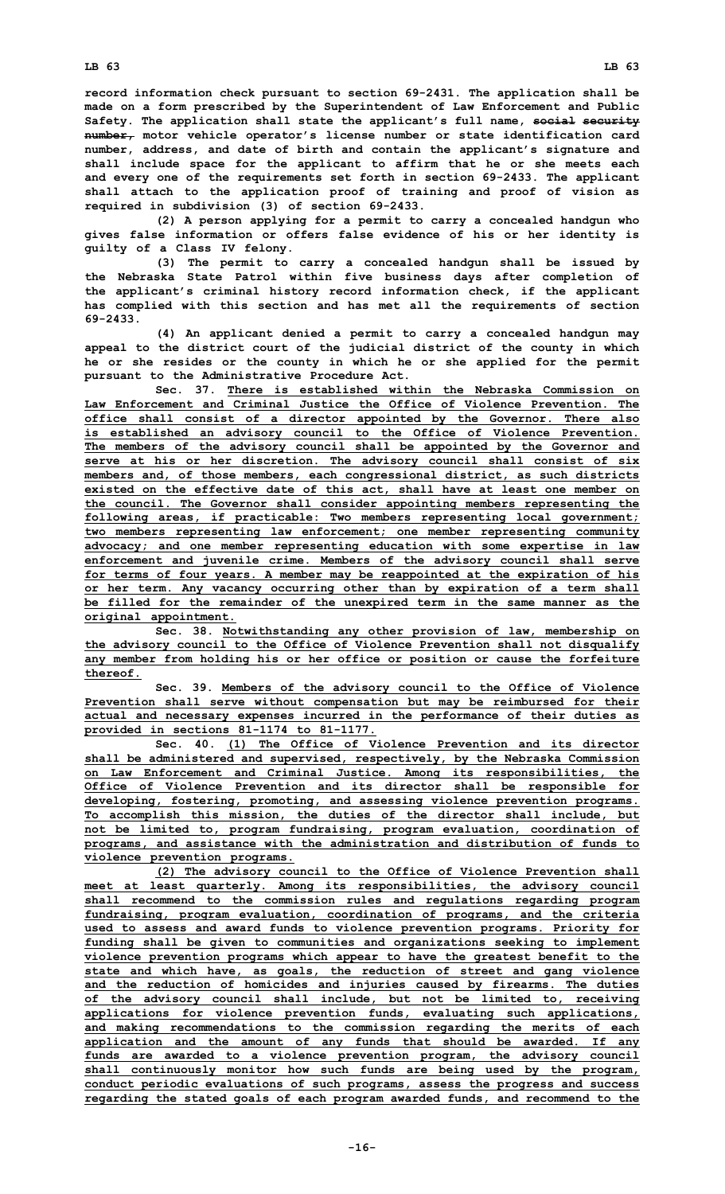**record information check pursuant to section 69-2431. The application shall be made on <sup>a</sup> form prescribed by the Superintendent of Law Enforcement and Public Safety. The application shall state the applicant's full name, social security number, motor vehicle operator's license number or state identification card number, address, and date of birth and contain the applicant's signature and shall include space for the applicant to affirm that he or she meets each and every one of the requirements set forth in section 69-2433. The applicant shall attach to the application proof of training and proof of vision as required in subdivision (3) of section 69-2433.**

**(2) <sup>A</sup> person applying for <sup>a</sup> permit to carry <sup>a</sup> concealed handgun who gives false information or offers false evidence of his or her identity is guilty of <sup>a</sup> Class IV felony.**

**(3) The permit to carry <sup>a</sup> concealed handgun shall be issued by the Nebraska State Patrol within five business days after completion of the applicant's criminal history record information check, if the applicant has complied with this section and has met all the requirements of section 69-2433.**

**(4) An applicant denied <sup>a</sup> permit to carry <sup>a</sup> concealed handgun may appeal to the district court of the judicial district of the county in which he or she resides or the county in which he or she applied for the permit pursuant to the Administrative Procedure Act.**

**Sec. 37. There is established within the Nebraska Commission on Law Enforcement and Criminal Justice the Office of Violence Prevention. The office shall consist of <sup>a</sup> director appointed by the Governor. There also is established an advisory council to the Office of Violence Prevention. The members of the advisory council shall be appointed by the Governor and serve at his or her discretion. The advisory council shall consist of six members and, of those members, each congressional district, as such districts existed on the effective date of this act, shall have at least one member on the council. The Governor shall consider appointing members representing the following areas, if practicable: Two members representing local government; two members representing law enforcement; one member representing community advocacy; and one member representing education with some expertise in law enforcement and juvenile crime. Members of the advisory council shall serve for terms of four years. A member may be reappointed at the expiration of his or her term. Any vacancy occurring other than by expiration of <sup>a</sup> term shall be filled for the remainder of the unexpired term in the same manner as the original appointment.**

**Sec. 38. Notwithstanding any other provision of law, membership on the advisory council to the Office of Violence Prevention shall not disqualify any member from holding his or her office or position or cause the forfeiture thereof.**

**Sec. 39. Members of the advisory council to the Office of Violence Prevention shall serve without compensation but may be reimbursed for their actual and necessary expenses incurred in the performance of their duties as provided in sections 81-1174 to 81-1177.**

**Sec. 40. (1) The Office of Violence Prevention and its director shall be administered and supervised, respectively, by the Nebraska Commission on Law Enforcement and Criminal Justice. Among its responsibilities, the Office of Violence Prevention and its director shall be responsible for developing, fostering, promoting, and assessing violence prevention programs. To accomplish this mission, the duties of the director shall include, but not be limited to, program fundraising, program evaluation, coordination of programs, and assistance with the administration and distribution of funds to violence prevention programs.**

**(2) The advisory council to the Office of Violence Prevention shall meet at least quarterly. Among its responsibilities, the advisory council shall recommend to the commission rules and regulations regarding program fundraising, program evaluation, coordination of programs, and the criteria used to assess and award funds to violence prevention programs. Priority for funding shall be given to communities and organizations seeking to implement violence prevention programs which appear to have the greatest benefit to the state and which have, as goals, the reduction of street and gang violence and the reduction of homicides and injuries caused by firearms. The duties of the advisory council shall include, but not be limited to, receiving applications for violence prevention funds, evaluating such applications, and making recommendations to the commission regarding the merits of each application and the amount of any funds that should be awarded. If any funds are awarded to <sup>a</sup> violence prevention program, the advisory council shall continuously monitor how such funds are being used by the program, conduct periodic evaluations of such programs, assess the progress and success regarding the stated goals of each program awarded funds, and recommend to the**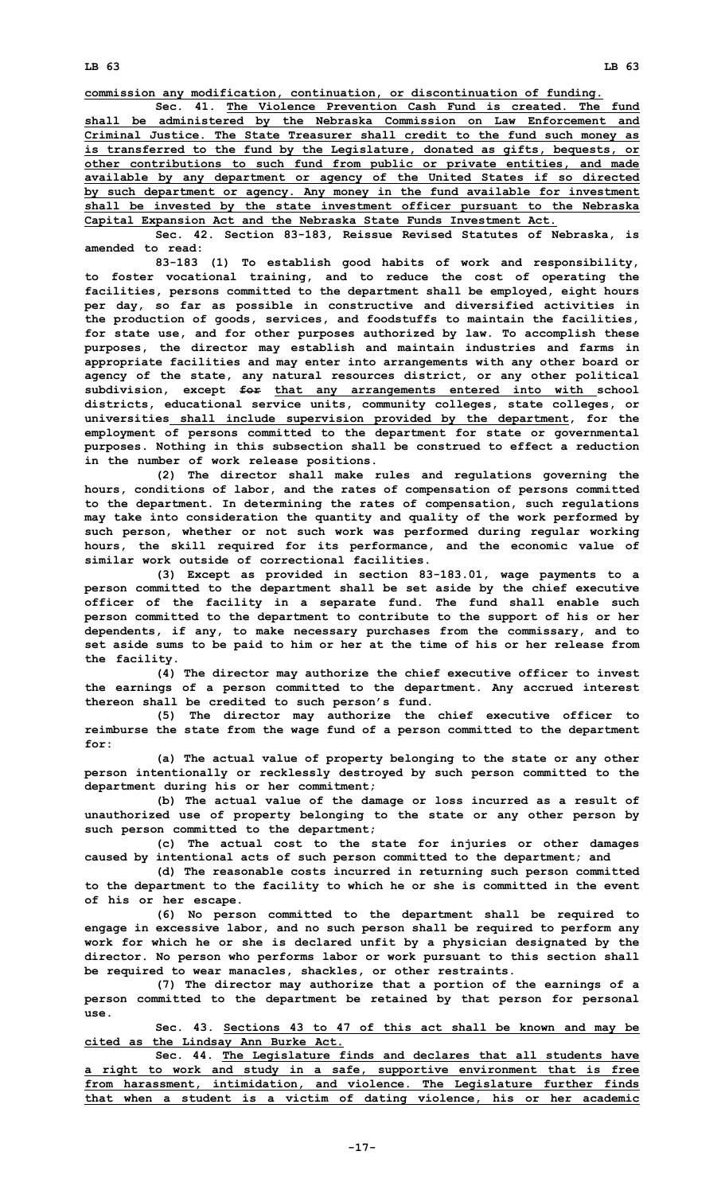**LB 63 LB 63**

**commission any modification, continuation, or discontinuation of funding.**

**Sec. 41. The Violence Prevention Cash Fund is created. The fund shall be administered by the Nebraska Commission on Law Enforcement and Criminal Justice. The State Treasurer shall credit to the fund such money as is transferred to the fund by the Legislature, donated as gifts, bequests, or other contributions to such fund from public or private entities, and made available by any department or agency of the United States if so directed by such department or agency. Any money in the fund available for investment shall be invested by the state investment officer pursuant to the Nebraska Capital Expansion Act and the Nebraska State Funds Investment Act.**

**Sec. 42. Section 83-183, Reissue Revised Statutes of Nebraska, is amended to read:**

**83-183 (1) To establish good habits of work and responsibility, to foster vocational training, and to reduce the cost of operating the facilities, persons committed to the department shall be employed, eight hours per day, so far as possible in constructive and diversified activities in the production of goods, services, and foodstuffs to maintain the facilities, for state use, and for other purposes authorized by law. To accomplish these purposes, the director may establish and maintain industries and farms in appropriate facilities and may enter into arrangements with any other board or agency of the state, any natural resources district, or any other political subdivision, except for that any arrangements entered into with school districts, educational service units, community colleges, state colleges, or universities shall include supervision provided by the department, for the employment of persons committed to the department for state or governmental purposes. Nothing in this subsection shall be construed to effect <sup>a</sup> reduction in the number of work release positions.**

**(2) The director shall make rules and regulations governing the hours, conditions of labor, and the rates of compensation of persons committed to the department. In determining the rates of compensation, such regulations may take into consideration the quantity and quality of the work performed by such person, whether or not such work was performed during regular working hours, the skill required for its performance, and the economic value of similar work outside of correctional facilities.**

**(3) Except as provided in section 83-183.01, wage payments to <sup>a</sup> person committed to the department shall be set aside by the chief executive officer of the facility in <sup>a</sup> separate fund. The fund shall enable such person committed to the department to contribute to the support of his or her dependents, if any, to make necessary purchases from the commissary, and to set aside sums to be paid to him or her at the time of his or her release from the facility.**

**(4) The director may authorize the chief executive officer to invest the earnings of <sup>a</sup> person committed to the department. Any accrued interest thereon shall be credited to such person's fund.**

**(5) The director may authorize the chief executive officer to reimburse the state from the wage fund of <sup>a</sup> person committed to the department for:**

**(a) The actual value of property belonging to the state or any other person intentionally or recklessly destroyed by such person committed to the department during his or her commitment;**

**(b) The actual value of the damage or loss incurred as <sup>a</sup> result of unauthorized use of property belonging to the state or any other person by such person committed to the department;**

**(c) The actual cost to the state for injuries or other damages caused by intentional acts of such person committed to the department; and**

**(d) The reasonable costs incurred in returning such person committed to the department to the facility to which he or she is committed in the event of his or her escape.**

**(6) No person committed to the department shall be required to engage in excessive labor, and no such person shall be required to perform any work for which he or she is declared unfit by <sup>a</sup> physician designated by the director. No person who performs labor or work pursuant to this section shall be required to wear manacles, shackles, or other restraints.**

**(7) The director may authorize that <sup>a</sup> portion of the earnings of <sup>a</sup> person committed to the department be retained by that person for personal use.**

**Sec. 43. Sections 43 to 47 of this act shall be known and may be cited as the Lindsay Ann Burke Act.**

**Sec. 44. The Legislature finds and declares that all students have <sup>a</sup> right to work and study in <sup>a</sup> safe, supportive environment that is free from harassment, intimidation, and violence. The Legislature further finds that when <sup>a</sup> student is <sup>a</sup> victim of dating violence, his or her academic**